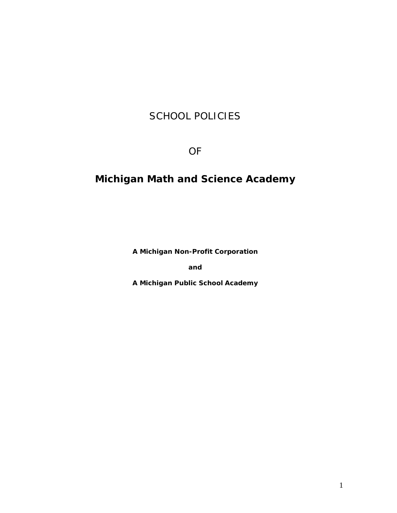# SCHOOL POLICIES

OF

# **Michigan Math and Science Academy**

**A Michigan Non-Profit Corporation**

**and**

**A Michigan Public School Academy**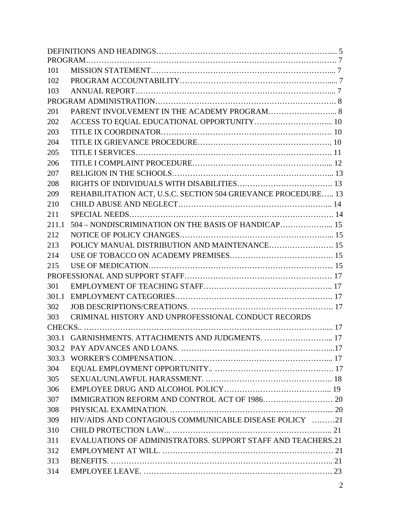| 101                                                                  |  |
|----------------------------------------------------------------------|--|
| 102                                                                  |  |
| 103                                                                  |  |
|                                                                      |  |
| PARENT INVOLVEMENT IN THE ACADEMY PROGRAM 8<br>201                   |  |
| 202                                                                  |  |
| 203                                                                  |  |
| 204                                                                  |  |
| 205                                                                  |  |
| 206                                                                  |  |
| 207                                                                  |  |
| 208                                                                  |  |
| REHABILITATION ACT, U.S.C. SECTION 504 GRIEVANCE PROCEDURE 13<br>209 |  |
| 210                                                                  |  |
| 211                                                                  |  |
| 211.1                                                                |  |
| 212                                                                  |  |
| 213                                                                  |  |
| 214                                                                  |  |
| 215                                                                  |  |
|                                                                      |  |
| 301                                                                  |  |
| 301.1                                                                |  |
| 302                                                                  |  |
| CRIMINAL HISTORY AND UNPROFESSIONAL CONDUCT RECORDS<br>303           |  |
|                                                                      |  |
| 303.1 GARNISHMENTS. ATTACHMENTS AND JUDGMENTS.  17                   |  |
| 303.2                                                                |  |
| 303.3                                                                |  |
| 304                                                                  |  |
| 305                                                                  |  |
| 306                                                                  |  |
| 307                                                                  |  |
| 308                                                                  |  |
| HIV/AIDS AND CONTAGIOUS COMMUNICABLE DISEASE POLICY 21<br>309        |  |
| 310                                                                  |  |
| EVALUATIONS OF ADMINISTRATORS. SUPPORT STAFF AND TEACHERS.21<br>311  |  |
| 312                                                                  |  |
| 313                                                                  |  |
| 314                                                                  |  |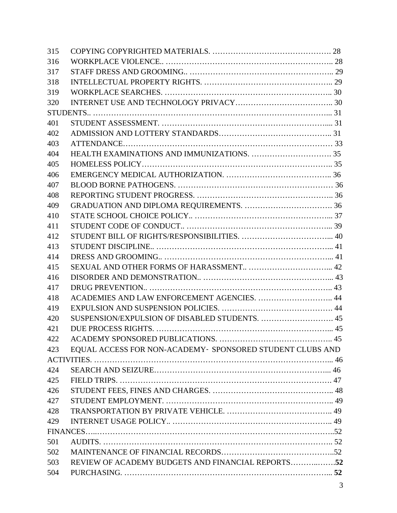| 315 |                                                           |  |
|-----|-----------------------------------------------------------|--|
| 316 |                                                           |  |
| 317 |                                                           |  |
| 318 |                                                           |  |
| 319 |                                                           |  |
| 320 |                                                           |  |
|     |                                                           |  |
| 401 |                                                           |  |
| 402 |                                                           |  |
| 403 |                                                           |  |
| 404 |                                                           |  |
| 405 |                                                           |  |
| 406 |                                                           |  |
| 407 |                                                           |  |
| 408 |                                                           |  |
| 409 |                                                           |  |
| 410 |                                                           |  |
| 411 |                                                           |  |
| 412 |                                                           |  |
| 413 |                                                           |  |
| 414 |                                                           |  |
| 415 |                                                           |  |
| 416 |                                                           |  |
| 417 |                                                           |  |
| 418 | ACADEMIES AND LAW ENFORCEMENT AGENCIES.  44               |  |
| 419 |                                                           |  |
| 420 |                                                           |  |
| 421 |                                                           |  |
| 422 |                                                           |  |
| 423 | EQUAL ACCESS FOR NON-ACADEMY- SPONSORED STUDENT CLUBS AND |  |
|     |                                                           |  |
| 424 |                                                           |  |
| 425 |                                                           |  |
| 426 |                                                           |  |
| 427 |                                                           |  |
| 428 |                                                           |  |
| 429 |                                                           |  |
|     |                                                           |  |
| 501 |                                                           |  |
| 502 |                                                           |  |
| 503 | REVIEW OF ACADEMY BUDGETS AND FINANCIAL REPORTS52         |  |
| 504 |                                                           |  |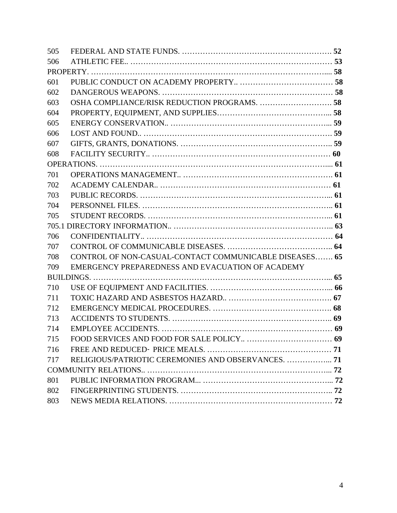| 505 |                                                        |  |  |  |
|-----|--------------------------------------------------------|--|--|--|
| 506 |                                                        |  |  |  |
|     |                                                        |  |  |  |
| 601 |                                                        |  |  |  |
| 602 |                                                        |  |  |  |
| 603 | OSHA COMPLIANCE/RISK REDUCTION PROGRAMS.  58           |  |  |  |
| 604 |                                                        |  |  |  |
| 605 |                                                        |  |  |  |
| 606 |                                                        |  |  |  |
| 607 |                                                        |  |  |  |
| 608 |                                                        |  |  |  |
|     |                                                        |  |  |  |
| 701 |                                                        |  |  |  |
| 702 |                                                        |  |  |  |
| 703 |                                                        |  |  |  |
| 704 |                                                        |  |  |  |
| 705 |                                                        |  |  |  |
|     |                                                        |  |  |  |
| 706 |                                                        |  |  |  |
| 707 |                                                        |  |  |  |
| 708 | CONTROL OF NON-CASUAL-CONTACT COMMUNICABLE DISEASES 65 |  |  |  |
| 709 | EMERGENCY PREPAREDNESS AND EVACUATION OF ACADEMY       |  |  |  |
|     |                                                        |  |  |  |
| 710 |                                                        |  |  |  |
| 711 |                                                        |  |  |  |
| 712 |                                                        |  |  |  |
| 713 |                                                        |  |  |  |
| 714 |                                                        |  |  |  |
| 715 |                                                        |  |  |  |
| 716 |                                                        |  |  |  |
| 717 | RELIGIOUS/PATRIOTIC CEREMONIES AND OBSERVANCES.  71    |  |  |  |
|     |                                                        |  |  |  |
| 801 |                                                        |  |  |  |
| 802 |                                                        |  |  |  |
| 803 |                                                        |  |  |  |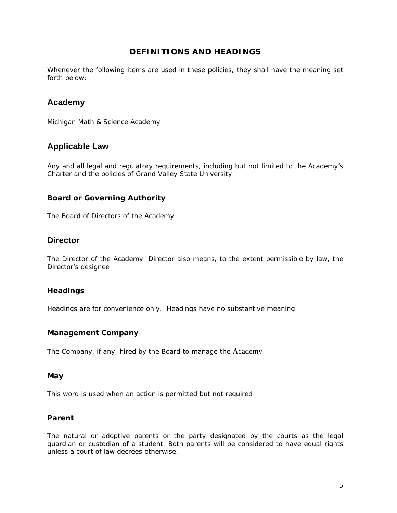# **DEFINITIONS AND HEADINGS**

Whenever the following items are used in these policies, they shall have the meaning set forth below:

# **Academy**

Michigan Math & Science Academy

# **Applicable Law**

Any and all legal and regulatory requirements, including but not limited to the Academy's Charter and the policies of Grand Valley State University

# **Board or Governing Authority**

The Board of Directors of the Academy

# **Director**

The Director of the Academy. Director also means, to the extent permissible by law, the Director's designee

# **Headings**

Headings are for convenience only. Headings have no substantive meaning

# **Management Company**

The Company, if any, hired by the Board to manage the Academy

#### **May**

This word is used when an action is permitted but not required

# **Parent**

The natural or adoptive parents or the party designated by the courts as the legal guardian or custodian of a student. Both parents will be considered to have equal rights unless a court of law decrees otherwise.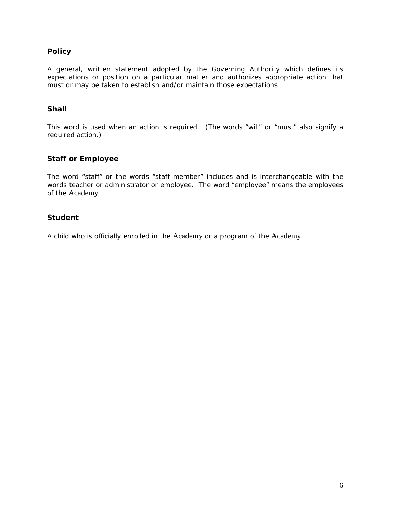# **Policy**

A general, written statement adopted by the Governing Authority which defines its expectations or position on a particular matter and authorizes appropriate action that must or may be taken to establish and/or maintain those expectations

# **Shall**

This word is used when an action is required. (The words "will" or "must" also signify a required action.)

# **Staff or Employee**

The word "staff" or the words "staff member" includes and is interchangeable with the words teacher or administrator or employee. The word "employee" means the employees of the Academy

# **Student**

A child who is officially enrolled in the Academy or a program of the Academy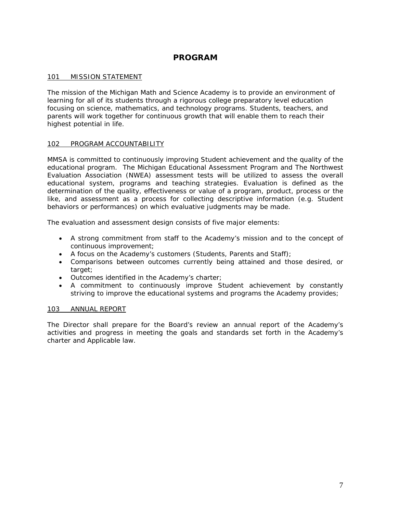# **PROGRAM**

# 101 MISSION STATEMENT

The mission of the Michigan Math and Science Academy is to provide an environment of learning for all of its students through a rigorous college preparatory level education focusing on science, mathematics, and technology programs. Students, teachers, and parents will work together for continuous growth that will enable them to reach their highest potential in life.

# 102 PROGRAM ACCOUNTABILITY

MMSA is committed to continuously improving Student achievement and the quality of the educational program. The Michigan Educational Assessment Program and The Northwest Evaluation Association (NWEA) assessment tests will be utilized to assess the overall educational system, programs and teaching strategies. Evaluation is defined as the determination of the quality, effectiveness or value of a program, product, process or the like, and assessment as a process for collecting descriptive information (e.g. Student behaviors or performances) on which evaluative judgments may be made.

The evaluation and assessment design consists of five major elements:

- A strong commitment from staff to the Academy's mission and to the concept of continuous improvement;
- A focus on the Academy's customers (Students, Parents and Staff);
- Comparisons between outcomes currently being attained and those desired, or target;
- Outcomes identified in the Academy's charter;
- A commitment to continuously improve Student achievement by constantly striving to improve the educational systems and programs the Academy provides;

# 103 ANNUAL REPORT

The Director shall prepare for the Board's review an annual report of the Academy's activities and progress in meeting the goals and standards set forth in the Academy's charter and Applicable law.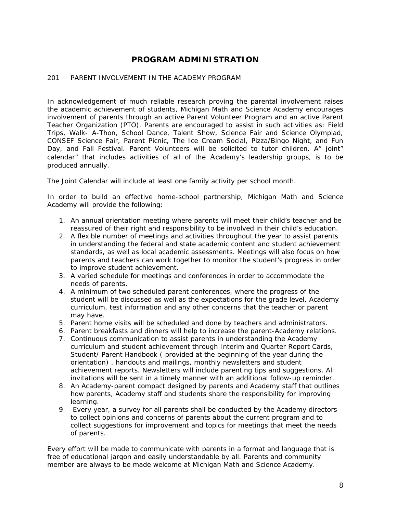# **PROGRAM ADMINISTRATION**

# 201 PARENT INVOLVEMENT IN THE ACADEMY PROGRAM

In acknowledgement of much reliable research proving the parental involvement raises the academic achievement of students, Michigan Math and Science Academy encourages involvement of parents through an active Parent Volunteer Program and an active Parent Teacher Organization (PTO). Parents are encouraged to assist in such activities as: Field Trips, Walk- A-Thon, School Dance, Talent Show, Science Fair and Science Olympiad, CONSEF Science Fair, Parent Picnic, The Ice Cream Social, Pizza/Bingo Night, and Fun Day, and Fall Festival. Parent Volunteers will be solicited to tutor children. A" joint" calendar" that includes activities of all of the Academy's leadership groups, is to be produced annually.

The Joint Calendar will include at least one family activity per school month.

In order to build an effective home-school partnership, Michigan Math and Science Academy will provide the following:

- 1. An annual orientation meeting where parents will meet their child's teacher and be reassured of their right and responsibility to be involved in their child's education.
- 2. A flexible number of meetings and activities throughout the year to assist parents in understanding the federal and state academic content and student achievement standards, as well as local academic assessments. Meetings will also focus on how parents and teachers can work together to monitor the student's progress in order to improve student achievement.
- 3. A varied schedule for meetings and conferences in order to accommodate the needs of parents.
- 4. A minimum of two scheduled parent conferences, where the progress of the student will be discussed as well as the expectations for the grade level, Academy curriculum, test information and any other concerns that the teacher or parent may have.
- 5. Parent home visits will be scheduled and done by teachers and administrators.
- 6. Parent breakfasts and dinners will help to increase the parent-Academy relations.
- 7. Continuous communication to assist parents in understanding the Academy curriculum and student achievement through Interim and Quarter Report Cards, Student/ Parent Handbook ( provided at the beginning of the year during the orientation) , handouts and mailings, monthly newsletters and student achievement reports. Newsletters will include parenting tips and suggestions. All invitations will be sent in a timely manner with an additional follow-up reminder.
- 8. An Academy-parent compact designed by parents and Academy staff that outlines how parents, Academy staff and students share the responsibility for improving learning.
- 9. Every year, a survey for all parents shall be conducted by the Academy directors to collect opinions and concerns of parents about the current program and to collect suggestions for improvement and topics for meetings that meet the needs of parents.

Every effort will be made to communicate with parents in a format and language that is free of educational jargon and easily understandable by all. Parents and community member are always to be made welcome at Michigan Math and Science Academy.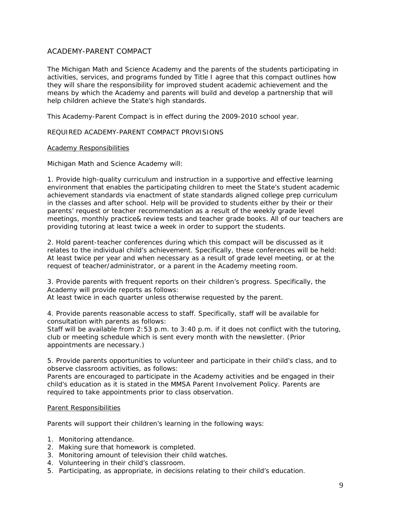# ACADEMY-PARENT COMPACT

The Michigan Math and Science Academy and the parents of the students participating in activities, services, and programs funded by Title I agree that this compact outlines how they will share the responsibility for improved student academic achievement and the means by which the Academy and parents will build and develop a partnership that will help children achieve the State's high standards.

This Academy-Parent Compact is in effect during the 2009-2010 school year.

#### REQUIRED ACADEMY-PARENT COMPACT PROVISIONS

#### Academy Responsibilities

Michigan Math and Science Academy will:

1. Provide high-quality curriculum and instruction in a supportive and effective learning environment that enables the participating children to meet the State's student academic achievement standards via enactment of state standards aligned college prep curriculum in the classes and after school. Help will be provided to students either by their or their parents' request or teacher recommendation as a result of the weekly grade level meetings, monthly practice& review tests and teacher grade books. All of our teachers are providing tutoring at least twice a week in order to support the students.

2. Hold parent-teacher conferences during which this compact will be discussed as it relates to the individual child's achievement. Specifically, these conferences will be held: At least twice per year and when necessary as a result of grade level meeting, or at the request of teacher/administrator, or a parent in the Academy meeting room.

3. Provide parents with frequent reports on their children's progress. Specifically, the Academy will provide reports as follows:

At least twice in each quarter unless otherwise requested by the parent.

4. Provide parents reasonable access to staff. Specifically, staff will be available for consultation with parents as follows:

Staff will be available from 2:53 p.m. to 3:40 p.m. if it does not conflict with the tutoring, club or meeting schedule which is sent every month with the newsletter. (Prior appointments are necessary.)

5. Provide parents opportunities to volunteer and participate in their child's class, and to observe classroom activities, as follows:

Parents are encouraged to participate in the Academy activities and be engaged in their child's education as it is stated in the MMSA Parent Involvement Policy. Parents are required to take appointments prior to class observation.

#### Parent Responsibilities

Parents will support their children's learning in the following ways:

- 1. Monitoring attendance.
- 2. Making sure that homework is completed.
- 3. Monitoring amount of television their child watches.
- 4. Volunteering in their child's classroom.
- 5. Participating, as appropriate, in decisions relating to their child's education.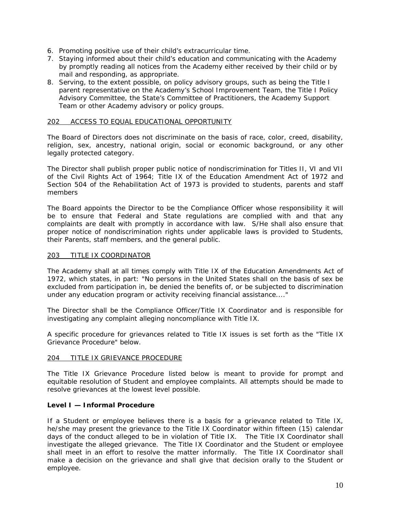- 6. Promoting positive use of their child's extracurricular time.
- 7. Staying informed about their child's education and communicating with the Academy by promptly reading all notices from the Academy either received by their child or by mail and responding, as appropriate.
- 8. Serving, to the extent possible, on policy advisory groups, such as being the Title I parent representative on the Academy's School Improvement Team, the Title I Policy Advisory Committee, the State's Committee of Practitioners, the Academy Support Team or other Academy advisory or policy groups.

#### 202 ACCESS TO EQUAL EDUCATIONAL OPPORTUNITY

The Board of Directors does not discriminate on the basis of race, color, creed, disability, religion, sex, ancestry, national origin, social or economic background, or any other legally protected category.

The Director shall publish proper public notice of nondiscrimination for Titles II, VI and VII of the Civil Rights Act of 1964; Title IX of the Education Amendment Act of 1972 and Section 504 of the Rehabilitation Act of 1973 is provided to students, parents and staff members

The Board appoints the Director to be the Compliance Officer whose responsibility it will be to ensure that Federal and State regulations are complied with and that any complaints are dealt with promptly in accordance with law. S/He shall also ensure that proper notice of nondiscrimination rights under applicable laws is provided to Students, their Parents, staff members, and the general public.

## 203 TITLE IX COORDINATOR

The Academy shall at all times comply with Title IX of the Education Amendments Act of 1972, which states, in part: "No persons in the United States shall on the basis of sex be excluded from participation in, be denied the benefits of, or be subjected to discrimination under any education program or activity receiving financial assistance...."

The Director shall be the Compliance Officer/Title IX Coordinator and is responsible for investigating any complaint alleging noncompliance with Title IX.

A specific procedure for grievances related to Title IX issues is set forth as the "Title IX Grievance Procedure" below.

# 204 TITLE IX GRIEVANCE PROCEDURE

The Title IX Grievance Procedure listed below is meant to provide for prompt and equitable resolution of Student and employee complaints. All attempts should be made to resolve grievances at the lowest level possible.

#### **Level I — Informal Procedure**

If a Student or employee believes there is a basis for a grievance related to Title IX, he/she may present the grievance to the Title IX Coordinator within fifteen (15) calendar days of the conduct alleged to be in violation of Title IX. The Title IX Coordinator shall investigate the alleged grievance. The Title IX Coordinator and the Student or employee shall meet in an effort to resolve the matter informally. The Title IX Coordinator shall make a decision on the grievance and shall give that decision orally to the Student or employee.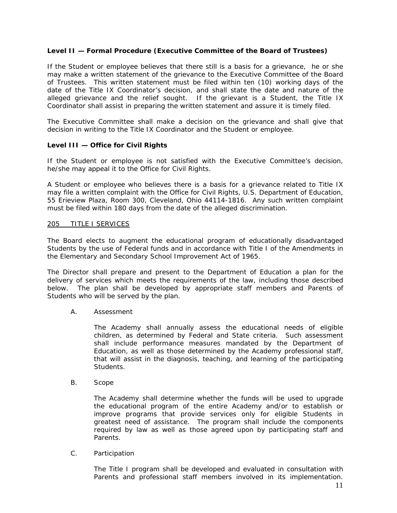# **Level II — Formal Procedure (Executive Committee of the Board of Trustees)**

If the Student or employee believes that there still is a basis for a grievance, he or she may make a written statement of the grievance to the Executive Committee of the Board of Trustees. This written statement must be filed within ten (10) working days of the date of the Title IX Coordinator's decision, and shall state the date and nature of the alleged grievance and the relief sought. If the grievant is a Student, the Title IX Coordinator shall assist in preparing the written statement and assure it is timely filed.

The Executive Committee shall make a decision on the grievance and shall give that decision in writing to the Title IX Coordinator and the Student or employee.

# **Level III — Office for Civil Rights**

If the Student or employee is not satisfied with the Executive Committee's decision, he/she may appeal it to the Office for Civil Rights.

A Student or employee who believes there is a basis for a grievance related to Title IX may file a written complaint with the Office for Civil Rights, U.S. Department of Education, 55 Erieview Plaza, Room 300, Cleveland, Ohio 44114-1816. Any such written complaint must be filed within 180 days from the date of the alleged discrimination.

#### 205 TITLE I SERVICES

The Board elects to augment the educational program of educationally disadvantaged Students by the use of Federal funds and in accordance with Title I of the Amendments in the Elementary and Secondary School Improvement Act of 1965.

The Director shall prepare and present to the Department of Education a plan for the delivery of services which meets the requirements of the law, including those described below. The plan shall be developed by appropriate staff members and Parents of Students who will be served by the plan.

#### A. Assessment

The Academy shall annually assess the educational needs of eligible children, as determined by Federal and State criteria. Such assessment shall include performance measures mandated by the Department of Education, as well as those determined by the Academy professional staff, that will assist in the diagnosis, teaching, and learning of the participating Students.

B. Scope

The Academy shall determine whether the funds will be used to upgrade the educational program of the entire Academy and/or to establish or improve programs that provide services only for eligible Students in greatest need of assistance. The program shall include the components required by law as well as those agreed upon by participating staff and Parents.

#### C. Participation

The Title I program shall be developed and evaluated in consultation with Parents and professional staff members involved in its implementation.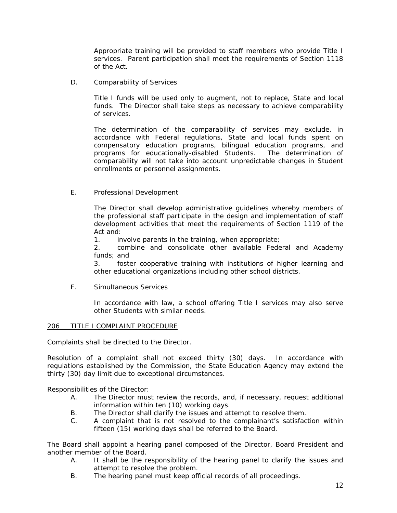Appropriate training will be provided to staff members who provide Title I services. Parent participation shall meet the requirements of Section 1118 of the Act.

D. Comparability of Services

Title I funds will be used only to augment, not to replace, State and local funds. The Director shall take steps as necessary to achieve comparability of services.

The determination of the comparability of services may exclude, in accordance with Federal regulations, State and local funds spent on compensatory education programs, bilingual education programs, and programs for educationally-disabled Students. The determination of comparability will not take into account unpredictable changes in Student enrollments or personnel assignments.

E. Professional Development

The Director shall develop administrative guidelines whereby members of the professional staff participate in the design and implementation of staff development activities that meet the requirements of Section 1119 of the Act and:

1. involve parents in the training, when appropriate;

2. combine and consolidate other available Federal and Academy funds; and

3. foster cooperative training with institutions of higher learning and other educational organizations including other school districts.

F. Simultaneous Services

In accordance with law, a school offering Title I services may also serve other Students with similar needs.

# 206 TITLE I COMPLAINT PROCEDURE

Complaints shall be directed to the Director.

Resolution of a complaint shall not exceed thirty (30) days. In accordance with regulations established by the Commission, the State Education Agency may extend the thirty (30) day limit due to exceptional circumstances.

Responsibilities of the Director:

- A. The Director must review the records, and, if necessary, request additional information within ten (10) working days.
- B. The Director shall clarify the issues and attempt to resolve them.
- C. A complaint that is not resolved to the complainant's satisfaction within fifteen (15) working days shall be referred to the Board.

The Board shall appoint a hearing panel composed of the Director, Board President and another member of the Board.

- A. It shall be the responsibility of the hearing panel to clarify the issues and attempt to resolve the problem.
- B. The hearing panel must keep official records of all proceedings.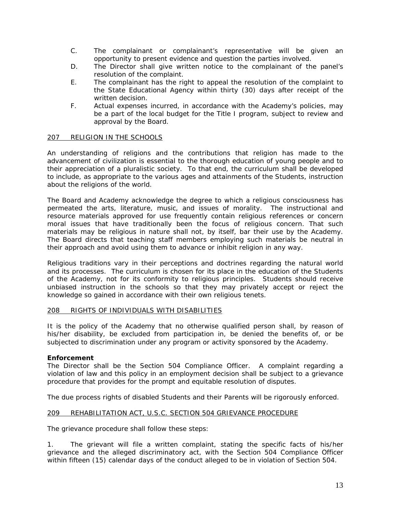- C. The complainant or complainant's representative will be given an opportunity to present evidence and question the parties involved.
- D. The Director shall give written notice to the complainant of the panel's resolution of the complaint.
- E. The complainant has the right to appeal the resolution of the complaint to the State Educational Agency within thirty (30) days after receipt of the written decision.
- F. Actual expenses incurred, in accordance with the Academy's policies, may be a part of the local budget for the Title I program, subject to review and approval by the Board.

# 207 RELIGION IN THE SCHOOLS

An understanding of religions and the contributions that religion has made to the advancement of civilization is essential to the thorough education of young people and to their appreciation of a pluralistic society. To that end, the curriculum shall be developed to include, as appropriate to the various ages and attainments of the Students, instruction about the religions of the world.

The Board and Academy acknowledge the degree to which a religious consciousness has permeated the arts, literature, music, and issues of morality. The instructional and resource materials approved for use frequently contain religious references or concern moral issues that have traditionally been the focus of religious concern. That such materials may be religious in nature shall not, by itself, bar their use by the Academy. The Board directs that teaching staff members employing such materials be neutral in their approach and avoid using them to advance or inhibit religion in any way.

Religious traditions vary in their perceptions and doctrines regarding the natural world and its processes. The curriculum is chosen for its place in the education of the Students of the Academy, not for its conformity to religious principles. Students should receive unbiased instruction in the schools so that they may privately accept or reject the knowledge so gained in accordance with their own religious tenets.

#### 208 RIGHTS OF INDIVIDUALS WITH DISABILITIES

It is the policy of the Academy that no otherwise qualified person shall, by reason of his/her disability, be excluded from participation in, be denied the benefits of, or be subjected to discrimination under any program or activity sponsored by the Academy.

# **Enforcement**

The Director shall be the Section 504 Compliance Officer. A complaint regarding a violation of law and this policy in an employment decision shall be subject to a grievance procedure that provides for the prompt and equitable resolution of disputes.

The due process rights of disabled Students and their Parents will be rigorously enforced.

# 209 REHABILITATION ACT, U.S.C. SECTION 504 GRIEVANCE PROCEDURE

The grievance procedure shall follow these steps:

1. The grievant will file a written complaint, stating the specific facts of his/her grievance and the alleged discriminatory act, with the Section 504 Compliance Officer within fifteen (15) calendar days of the conduct alleged to be in violation of Section 504.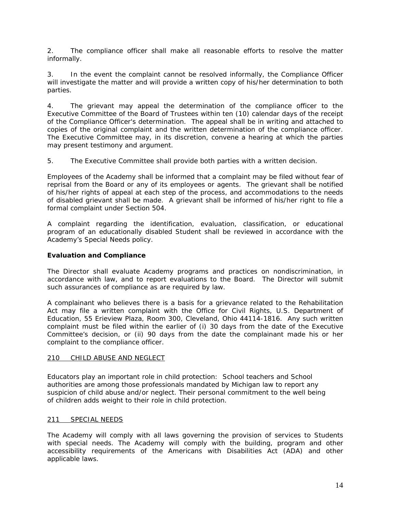2. The compliance officer shall make all reasonable efforts to resolve the matter informally.

3. In the event the complaint cannot be resolved informally, the Compliance Officer will investigate the matter and will provide a written copy of his/her determination to both parties.

4. The grievant may appeal the determination of the compliance officer to the Executive Committee of the Board of Trustees within ten (10) calendar days of the receipt of the Compliance Officer's determination. The appeal shall be in writing and attached to copies of the original complaint and the written determination of the compliance officer. The Executive Committee may, in its discretion, convene a hearing at which the parties may present testimony and argument.

5. The Executive Committee shall provide both parties with a written decision.

Employees of the Academy shall be informed that a complaint may be filed without fear of reprisal from the Board or any of its employees or agents. The grievant shall be notified of his/her rights of appeal at each step of the process, and accommodations to the needs of disabled grievant shall be made. A grievant shall be informed of his/her right to file a formal complaint under Section 504.

A complaint regarding the identification, evaluation, classification, or educational program of an educationally disabled Student shall be reviewed in accordance with the Academy's Special Needs policy.

# **Evaluation and Compliance**

The Director shall evaluate Academy programs and practices on nondiscrimination, in accordance with law, and to report evaluations to the Board. The Director will submit such assurances of compliance as are required by law.

A complainant who believes there is a basis for a grievance related to the Rehabilitation Act may file a written complaint with the Office for Civil Rights, U.S. Department of Education, 55 Erieview Plaza, Room 300, Cleveland, Ohio 44114-1816. Any such written complaint must be filed within the earlier of (i) 30 days from the date of the Executive Committee's decision, or (ii) 90 days from the date the complainant made his or her complaint to the compliance officer.

# 210 CHILD ABUSE AND NEGLECT

Educators play an important role in child protection: School teachers and School authorities are among those professionals mandated by Michigan law to report any suspicion of child abuse and/or neglect. Their personal commitment to the well being of children adds weight to their role in child protection.

# 211 SPECIAL NEEDS

The Academy will comply with all laws governing the provision of services to Students with special needs. The Academy will comply with the building, program and other accessibility requirements of the Americans with Disabilities Act (ADA) and other applicable laws.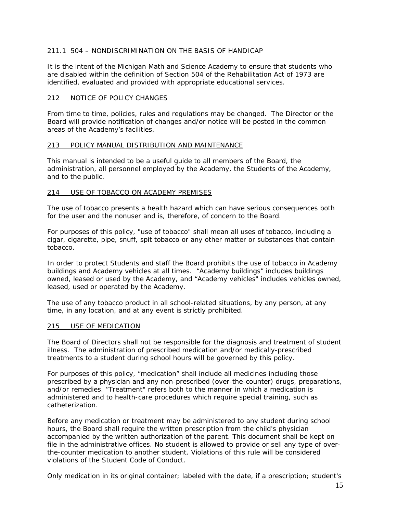# 211.1 504 – NONDISCRIMINATION ON THE BASIS OF HANDICAP

It is the intent of the Michigan Math and Science Academy to ensure that students who are disabled within the definition of Section 504 of the Rehabilitation Act of 1973 are identified, evaluated and provided with appropriate educational services.

#### 212 NOTICE OF POLICY CHANGES

From time to time, policies, rules and regulations may be changed. The Director or the Board will provide notification of changes and/or notice will be posted in the common areas of the Academy's facilities.

#### 213 POLICY MANUAL DISTRIBUTION AND MAINTENANCE

This manual is intended to be a useful guide to all members of the Board, the administration, all personnel employed by the Academy, the Students of the Academy, and to the public.

#### 214 USE OF TOBACCO ON ACADEMY PREMISES

The use of tobacco presents a health hazard which can have serious consequences both for the user and the nonuser and is, therefore, of concern to the Board.

For purposes of this policy, "use of tobacco" shall mean all uses of tobacco, including a cigar, cigarette, pipe, snuff, spit tobacco or any other matter or substances that contain tobacco.

In order to protect Students and staff the Board prohibits the use of tobacco in Academy buildings and Academy vehicles at all times. "Academy buildings" includes buildings owned, leased or used by the Academy, and "Academy vehicles" includes vehicles owned, leased, used or operated by the Academy.

The use of any tobacco product in all school-related situations, by any person, at any time, in any location, and at any event is strictly prohibited.

#### 215 USE OF MEDICATION

The Board of Directors shall not be responsible for the diagnosis and treatment of student illness. The administration of prescribed medication and/or medically-prescribed treatments to a student during school hours will be governed by this policy.

For purposes of this policy, "medication" shall include all medicines including those prescribed by a physician and any non-prescribed (over-the-counter) drugs, preparations, and/or remedies. "Treatment" refers both to the manner in which a medication is administered and to health-care procedures which require special training, such as catheterization.

Before any medication or treatment may be administered to any student during school hours, the Board shall require the written prescription from the child's physician accompanied by the written authorization of the parent. This document shall be kept on file in the administrative offices. No student is allowed to provide or sell any type of overthe-counter medication to another student. Violations of this rule will be considered violations of the Student Code of Conduct.

Only medication in its original container; labeled with the date, if a prescription; student's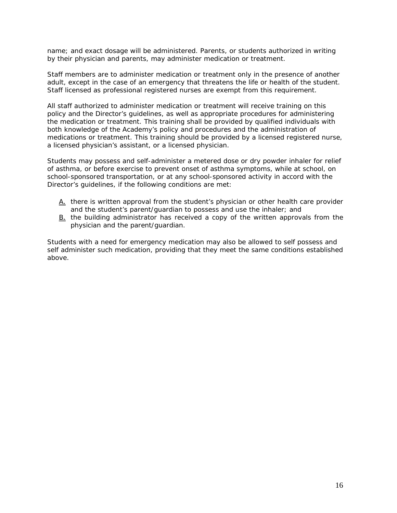name; and exact dosage will be administered. Parents, or students authorized in writing by their physician and parents, may administer medication or treatment.

Staff members are to administer medication or treatment only in the presence of another adult, except in the case of an emergency that threatens the life or health of the student. Staff licensed as professional registered nurses are exempt from this requirement.

All staff authorized to administer medication or treatment will receive training on this policy and the Director's guidelines, as well as appropriate procedures for administering the medication or treatment. This training shall be provided by qualified individuals with both knowledge of the Academy's policy and procedures and the administration of medications or treatment. This training should be provided by a licensed registered nurse, a licensed physician's assistant, or a licensed physician.

Students may possess and self-administer a metered dose or dry powder inhaler for relief of asthma, or before exercise to prevent onset of asthma symptoms, while at school, on school-sponsored transportation, or at any school-sponsored activity in accord with the Director's guidelines, if the following conditions are met:

- A. there is written approval from the student's physician or other health care provider and the student's parent/guardian to possess and use the inhaler; and
- B. the building administrator has received a copy of the written approvals from the physician and the parent/guardian.

Students with a need for emergency medication may also be allowed to self possess and self administer such medication, providing that they meet the same conditions established above.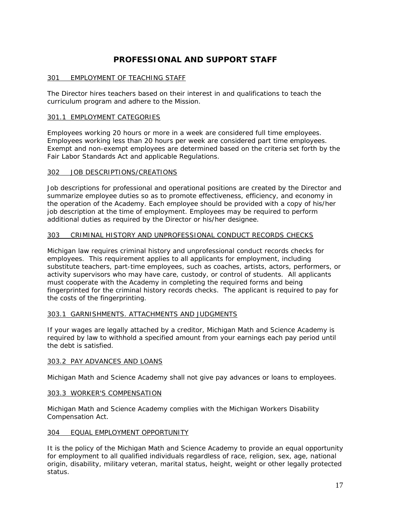# **PROFESSIONAL AND SUPPORT STAFF**

# 301 EMPLOYMENT OF TEACHING STAFF

The Director hires teachers based on their interest in and qualifications to teach the curriculum program and adhere to the Mission.

# 301.1 EMPLOYMENT CATEGORIES

Employees working 20 hours or more in a week are considered full time employees. Employees working less than 20 hours per week are considered part time employees. Exempt and non-exempt employees are determined based on the criteria set forth by the Fair Labor Standards Act and applicable Regulations.

# 302 JOB DESCRIPTIONS/CREATIONS

Job descriptions for professional and operational positions are created by the Director and summarize employee duties so as to promote effectiveness, efficiency, and economy in the operation of the Academy. Each employee should be provided with a copy of his/her job description at the time of employment. Employees may be required to perform additional duties as required by the Director or his/her designee.

# 303 CRIMINAL HISTORY AND UNPROFESSIONAL CONDUCT RECORDS CHECKS

Michigan law requires criminal history and unprofessional conduct records checks for employees. This requirement applies to all applicants for employment, including substitute teachers, part-time employees, such as coaches, artists, actors, performers, or activity supervisors who may have care, custody, or control of students. All applicants must cooperate with the Academy in completing the required forms and being fingerprinted for the criminal history records checks. The applicant is required to pay for the costs of the fingerprinting.

# 303.1 GARNISHMENTS. ATTACHMENTS AND JUDGMENTS

If your wages are legally attached by a creditor, Michigan Math and Science Academy is required by law to withhold a specified amount from your earnings each pay period until the debt is satisfied.

# 303.2 PAY ADVANCES AND LOANS

Michigan Math and Science Academy shall not give pay advances or loans to employees.

# 303.3 WORKER'S COMPENSATION

Michigan Math and Science Academy complies with the Michigan Workers Disability Compensation Act.

#### 304 EQUAL EMPLOYMENT OPPORTUNITY

It is the policy of the Michigan Math and Science Academy to provide an equal opportunity for employment to all qualified individuals regardless of race, religion, sex, age, national origin, disability, military veteran, marital status, height, weight or other legally protected status.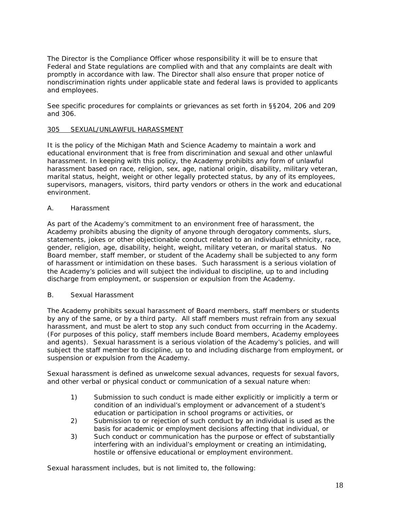The Director is the Compliance Officer whose responsibility it will be to ensure that Federal and State regulations are complied with and that any complaints are dealt with promptly in accordance with law. The Director shall also ensure that proper notice of nondiscrimination rights under applicable state and federal laws is provided to applicants and employees.

See specific procedures for complaints or grievances as set forth in §§204, 206 and 209 and 306.

### 305 SEXUAL/UNLAWFUL HARASSMENT

It is the policy of the Michigan Math and Science Academy to maintain a work and educational environment that is free from discrimination and sexual and other unlawful harassment. In keeping with this policy, the Academy prohibits any form of unlawful harassment based on race, religion, sex, age, national origin, disability, military veteran, marital status, height, weight or other legally protected status, by any of its employees, supervisors, managers, visitors, third party vendors or others in the work and educational environment.

#### A. Harassment

As part of the Academy's commitment to an environment free of harassment, the Academy prohibits abusing the dignity of anyone through derogatory comments, slurs, statements, jokes or other objectionable conduct related to an individual's ethnicity, race, gender, religion, age, disability, height, weight, military veteran, or marital status. No Board member, staff member, or student of the Academy shall be subjected to any form of harassment or intimidation on these bases. Such harassment is a serious violation of the Academy's policies and will subject the individual to discipline, up to and including discharge from employment, or suspension or expulsion from the Academy.

#### B. Sexual Harassment

The Academy prohibits sexual harassment of Board members, staff members or students by any of the same, or by a third party. All staff members must refrain from any sexual harassment, and must be alert to stop any such conduct from occurring in the Academy. (For purposes of this policy, staff members include Board members, Academy employees and agents). Sexual harassment is a serious violation of the Academy's policies, and will subject the staff member to discipline, up to and including discharge from employment, or suspension or expulsion from the Academy.

Sexual harassment is defined as unwelcome sexual advances, requests for sexual favors, and other verbal or physical conduct or communication of a sexual nature when:

- 1) Submission to such conduct is made either explicitly or implicitly a term or condition of an individual's employment or advancement of a student's education or participation in school programs or activities, or
- 2) Submission to or rejection of such conduct by an individual is used as the basis for academic or employment decisions affecting that individual, or
- 3) Such conduct or communication has the purpose or effect of substantially interfering with an individual's employment or creating an intimidating, hostile or offensive educational or employment environment.

Sexual harassment includes, but is not limited to, the following: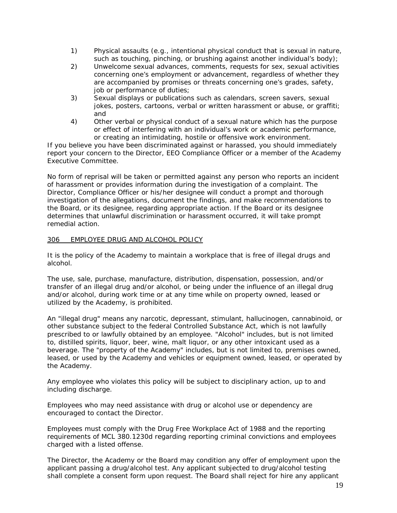- 1) Physical assaults (e.g., intentional physical conduct that is sexual in nature, such as touching, pinching, or brushing against another individual's body);
- 2) Unwelcome sexual advances, comments, requests for sex, sexual activities concerning one's employment or advancement, regardless of whether they are accompanied by promises or threats concerning one's grades, safety, job or performance of duties;
- 3) Sexual displays or publications such as calendars, screen savers, sexual jokes, posters, cartoons, verbal or written harassment or abuse, or graffiti; and
- 4) Other verbal or physical conduct of a sexual nature which has the purpose or effect of interfering with an individual's work or academic performance, or creating an intimidating, hostile or offensive work environment.

If you believe you have been discriminated against or harassed, you should immediately report your concern to the Director, EEO Compliance Officer or a member of the Academy Executive Committee.

No form of reprisal will be taken or permitted against any person who reports an incident of harassment or provides information during the investigation of a complaint. The Director, Compliance Officer or his/her designee will conduct a prompt and thorough investigation of the allegations, document the findings, and make recommendations to the Board, or its designee, regarding appropriate action. If the Board or its designee determines that unlawful discrimination or harassment occurred, it will take prompt remedial action.

#### 306 EMPLOYEE DRUG AND ALCOHOL POLICY

It is the policy of the Academy to maintain a workplace that is free of illegal drugs and alcohol.

The use, sale, purchase, manufacture, distribution, dispensation, possession, and/or transfer of an illegal drug and/or alcohol, or being under the influence of an illegal drug and/or alcohol, during work time or at any time while on property owned, leased or utilized by the Academy, is prohibited.

An "illegal drug" means any narcotic, depressant, stimulant, hallucinogen, cannabinoid, or other substance subject to the federal Controlled Substance Act, which is not lawfully prescribed to or lawfully obtained by an employee. "Alcohol" includes, but is not limited to, distilled spirits, liquor, beer, wine, malt liquor, or any other intoxicant used as a beverage. The "property of the Academy" includes, but is not limited to, premises owned, leased, or used by the Academy and vehicles or equipment owned, leased, or operated by the Academy.

Any employee who violates this policy will be subject to disciplinary action, up to and including discharge.

Employees who may need assistance with drug or alcohol use or dependency are encouraged to contact the Director.

Employees must comply with the Drug Free Workplace Act of 1988 and the reporting requirements of MCL 380.1230d regarding reporting criminal convictions and employees charged with a listed offense.

The Director, the Academy or the Board may condition any offer of employment upon the applicant passing a drug/alcohol test. Any applicant subjected to drug/alcohol testing shall complete a consent form upon request. The Board shall reject for hire any applicant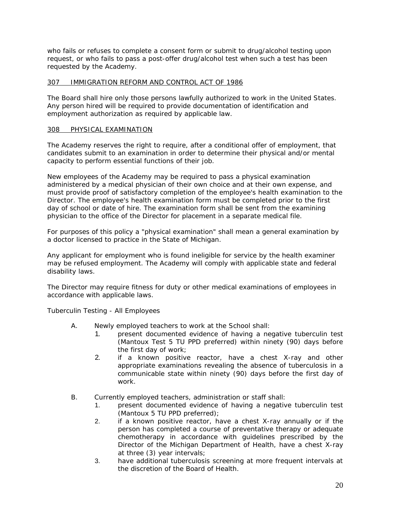who fails or refuses to complete a consent form or submit to drug/alcohol testing upon request, or who fails to pass a post-offer drug/alcohol test when such a test has been requested by the Academy.

# 307 IMMIGRATION REFORM AND CONTROL ACT OF 1986

The Board shall hire only those persons lawfully authorized to work in the United States. Any person hired will be required to provide documentation of identification and employment authorization as required by applicable law.

# 308 PHYSICAL EXAMINATION

The Academy reserves the right to require, after a conditional offer of employment, that candidates submit to an examination in order to determine their physical and/or mental capacity to perform essential functions of their job.

New employees of the Academy may be required to pass a physical examination administered by a medical physician of their own choice and at their own expense, and must provide proof of satisfactory completion of the employee's health examination to the Director. The employee's health examination form must be completed prior to the first day of school or date of hire. The examination form shall be sent from the examining physician to the office of the Director for placement in a separate medical file.

For purposes of this policy a "physical examination" shall mean a general examination by a doctor licensed to practice in the State of Michigan.

Any applicant for employment who is found ineligible for service by the health examiner may be refused employment. The Academy will comply with applicable state and federal disability laws.

The Director may require fitness for duty or other medical examinations of employees in accordance with applicable laws.

Tuberculin Testing - All Employees

- A. Newly employed teachers to work at the School shall:
	- 1. present documented evidence of having a negative tuberculin test (Mantoux Test 5 TU PPD preferred) within ninety (90) days before the first day of work;
	- 2. if a known positive reactor, have a chest X-ray and other appropriate examinations revealing the absence of tuberculosis in a communicable state within ninety (90) days before the first day of work.
- B. Currently employed teachers, administration or staff shall:
	- 1. present documented evidence of having a negative tuberculin test (Mantoux 5 TU PPD preferred);
	- 2. if a known positive reactor, have a chest X-ray annually or if the person has completed a course of preventative therapy or adequate chemotherapy in accordance with guidelines prescribed by the Director of the Michigan Department of Health, have a chest X-ray at three (3) year intervals;
	- 3. have additional tuberculosis screening at more frequent intervals at the discretion of the Board of Health.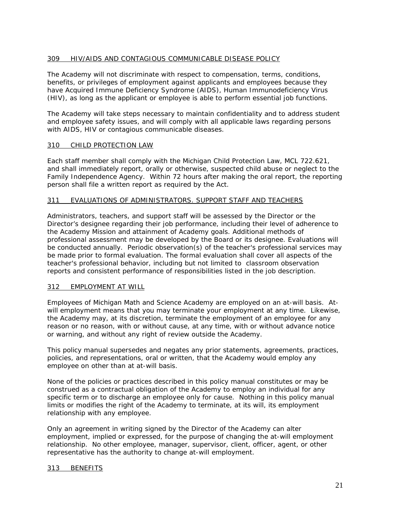# 309 HIV/AIDS AND CONTAGIOUS COMMUNICABLE DISEASE POLICY

The Academy will not discriminate with respect to compensation, terms, conditions, benefits, or privileges of employment against applicants and employees because they have Acquired Immune Deficiency Syndrome (AIDS), Human Immunodeficiency Virus (HIV), as long as the applicant or employee is able to perform essential job functions.

The Academy will take steps necessary to maintain confidentiality and to address student and employee safety issues, and will comply with all applicable laws regarding persons with AIDS, HIV or contagious communicable diseases.

# 310 CHILD PROTECTION LAW

Each staff member shall comply with the Michigan Child Protection Law, MCL 722.621, and shall immediately report, orally or otherwise, suspected child abuse or neglect to the Family Independence Agency. Within 72 hours after making the oral report, the reporting person shall file a written report as required by the Act.

#### 311 EVALUATIONS OF ADMINISTRATORS. SUPPORT STAFF AND TEACHERS

Administrators, teachers, and support staff will be assessed by the Director or the Director's designee regarding their job performance, including their level of adherence to the Academy Mission and attainment of Academy goals. Additional methods of professional assessment may be developed by the Board or its designee. Evaluations will be conducted annually. Periodic observation(s) of the teacher's professional services may be made prior to formal evaluation. The formal evaluation shall cover all aspects of the teacher's professional behavior, including but not limited to classroom observation reports and consistent performance of responsibilities listed in the job description.

#### 312 EMPLOYMENT AT WILL

Employees of Michigan Math and Science Academy are employed on an at-will basis. Atwill employment means that you may terminate your employment at any time. Likewise, the Academy may, at its discretion, terminate the employment of an employee for any reason or no reason, with or without cause, at any time, with or without advance notice or warning, and without any right of review outside the Academy.

This policy manual supersedes and negates any prior statements, agreements, practices, policies, and representations, oral or written, that the Academy would employ any employee on other than at at-will basis.

None of the policies or practices described in this policy manual constitutes or may be construed as a contractual obligation of the Academy to employ an individual for any specific term or to discharge an employee only for cause. Nothing in this policy manual limits or modifies the right of the Academy to terminate, at its will, its employment relationship with any employee.

Only an agreement in writing signed by the Director of the Academy can alter employment, implied or expressed, for the purpose of changing the at-will employment relationship. No other employee, manager, supervisor, client, officer, agent, or other representative has the authority to change at-will employment.

#### 313 BENEFITS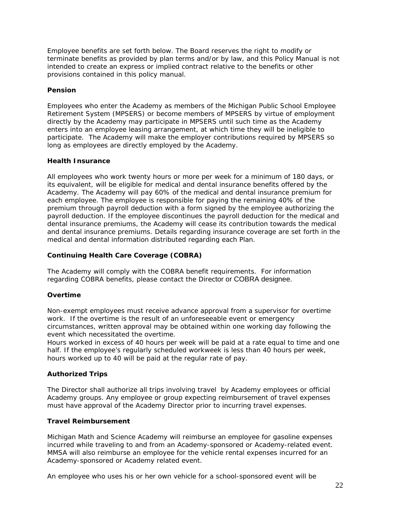Employee benefits are set forth below. The Board reserves the right to modify or terminate benefits as provided by plan terms and/or by law, and this Policy Manual is not intended to create an express or implied contract relative to the benefits or other provisions contained in this policy manual.

# **Pension**

Employees who enter the Academy as members of the Michigan Public School Employee Retirement System (MPSERS) or become members of MPSERS by virtue of employment directly by the Academy may participate in MPSERS until such time as the Academy enters into an employee leasing arrangement, at which time they will be ineligible to participate. The Academy will make the employer contributions required by MPSERS so long as employees are directly employed by the Academy.

# **Health Insurance**

All employees who work twenty hours or more per week for a minimum of 180 days, or its equivalent, will be eligible for medical and dental insurance benefits offered by the Academy. The Academy will pay 60% of the medical and dental insurance premium for each employee. The employee is responsible for paying the remaining 40% of the premium through payroll deduction with a form signed by the employee authorizing the payroll deduction. If the employee discontinues the payroll deduction for the medical and dental insurance premiums, the Academy will cease its contribution towards the medical and dental insurance premiums. Details regarding insurance coverage are set forth in the medical and dental information distributed regarding each Plan.

# **Continuing Health Care Coverage (COBRA)**

The Academy will comply with the COBRA benefit requirements. For information regarding COBRA benefits, please contact the Director or COBRA designee.

# **Overtime**

Non-exempt employees must receive advance approval from a supervisor for overtime work. If the overtime is the result of an unforeseeable event or emergency circumstances, written approval may be obtained within one working day following the event which necessitated the overtime.

Hours worked in excess of 40 hours per week will be paid at a rate equal to time and one half. If the employee's regularly scheduled workweek is less than 40 hours per week, hours worked up to 40 will be paid at the regular rate of pay.

# **Authorized Trips**

The Director shall authorize all trips involving travel by Academy employees or official Academy groups. Any employee or group expecting reimbursement of travel expenses must have approval of the Academy Director prior to incurring travel expenses.

# **Travel Reimbursement**

Michigan Math and Science Academy will reimburse an employee for gasoline expenses incurred while traveling to and from an Academy-sponsored or Academy-related event. MMSA will also reimburse an employee for the vehicle rental expenses incurred for an Academy-sponsored or Academy related event.

An employee who uses his or her own vehicle for a school-sponsored event will be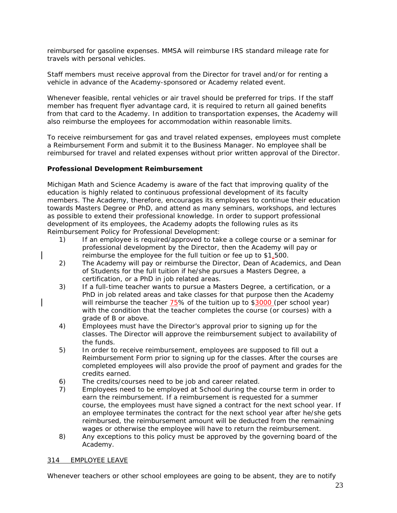reimbursed for gasoline expenses. MMSA will reimburse IRS standard mileage rate for travels with personal vehicles.

Staff members must receive approval from the Director for travel and/or for renting a vehicle in advance of the Academy-sponsored or Academy related event.

Whenever feasible, rental vehicles or air travel should be preferred for trips. If the staff member has frequent flyer advantage card, it is required to return all gained benefits from that card to the Academy. In addition to transportation expenses, the Academy will also reimburse the employees for accommodation within reasonable limits.

To receive reimbursement for gas and travel related expenses, employees must complete a Reimbursement Form and submit it to the Business Manager. No employee shall be reimbursed for travel and related expenses without prior written approval of the Director.

# **Professional Development Reimbursement**

Michigan Math and Science Academy is aware of the fact that improving quality of the education is highly related to continuous professional development of its faculty members. The Academy, therefore, encourages its employees to continue their education towards Masters Degree or PhD, and attend as many seminars, workshops, and lectures as possible to extend their professional knowledge. In order to support professional development of its employees, the Academy adopts the following rules as its Reimbursement Policy for Professional Development:

- 1) If an employee is required/approved to take a college course or a seminar for professional development by the Director, then the Academy will pay or reimburse the employee for the full tuition or fee up to \$1,500.
- 2) The Academy will pay or reimburse the Director, Dean of Academics, and Dean of Students for the full tuition if he/she pursues a Masters Degree, a certification, or a PhD in job related areas.
- 3) If a full-time teacher wants to pursue a Masters Degree, a certification, or a PhD in job related areas and take classes for that purpose then the Academy will reimburse the teacher 75% of the tuition up to \$3000 (per school year) with the condition that the teacher completes the course (or courses) with a grade of B or above.
- 4) Employees must have the Director's approval prior to signing up for the classes. The Director will approve the reimbursement subject to availability of the funds.
- 5) In order to receive reimbursement, employees are supposed to fill out a Reimbursement Form prior to signing up for the classes. After the courses are completed employees will also provide the proof of payment and grades for the credits earned.
- 6) The credits/courses need to be job and career related.
- 7) Employees need to be employed at School during the course term in order to earn the reimbursement. If a reimbursement is requested for a summer course, the employees must have signed a contract for the next school year. If an employee terminates the contract for the next school year after he/she gets reimbursed, the reimbursement amount will be deducted from the remaining wages or otherwise the employee will have to return the reimbursement.
- 8) Any exceptions to this policy must be approved by the governing board of the Academy.

# 314 EMPLOYEE LEAVE

Whenever teachers or other school employees are going to be absent, they are to notify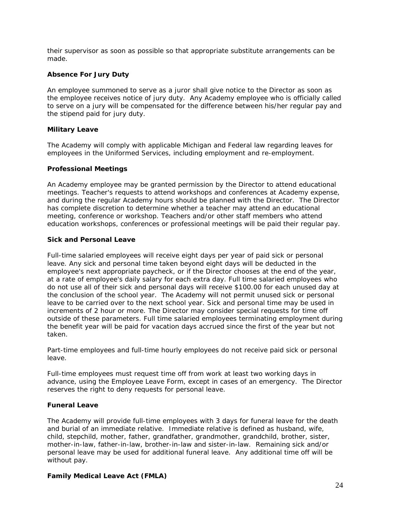their supervisor as soon as possible so that appropriate substitute arrangements can be made.

# **Absence For Jury Duty**

An employee summoned to serve as a juror shall give notice to the Director as soon as the employee receives notice of jury duty. Any Academy employee who is officially called to serve on a jury will be compensated for the difference between his/her regular pay and the stipend paid for jury duty.

# **Military Leave**

The Academy will comply with applicable Michigan and Federal law regarding leaves for employees in the Uniformed Services, including employment and re-employment.

# **Professional Meetings**

An Academy employee may be granted permission by the Director to attend educational meetings. Teacher's requests to attend workshops and conferences at Academy expense, and during the regular Academy hours should be planned with the Director. The Director has complete discretion to determine whether a teacher may attend an educational meeting, conference or workshop. Teachers and/or other staff members who attend education workshops, conferences or professional meetings will be paid their regular pay.

# **Sick and Personal Leave**

Full-time salaried employees will receive eight days per year of paid sick or personal leave. Any sick and personal time taken beyond eight days will be deducted in the employee's next appropriate paycheck, or if the Director chooses at the end of the year, at a rate of employee's daily salary for each extra day. Full time salaried employees who do not use all of their sick and personal days will receive \$100.00 for each unused day at the conclusion of the school year. The Academy will not permit unused sick or personal leave to be carried over to the next school year. Sick and personal time may be used in increments of 2 hour or more. The Director may consider special requests for time off outside of these parameters. Full time salaried employees terminating employment during the benefit year will be paid for vacation days accrued since the first of the year but not taken.

Part-time employees and full-time hourly employees do not receive paid sick or personal leave.

Full-time employees must request time off from work at least two working days in advance, using the Employee Leave Form, except in cases of an emergency. The Director reserves the right to deny requests for personal leave.

# **Funeral Leave**

The Academy will provide full-time employees with 3 days for funeral leave for the death and burial of an immediate relative. Immediate relative is defined as husband, wife, child, stepchild, mother, father, grandfather, grandmother, grandchild, brother, sister, mother-in-law, father-in-law, brother-in-law and sister-in-law. Remaining sick and/or personal leave may be used for additional funeral leave. Any additional time off will be without pay.

# **Family Medical Leave Act (FMLA)**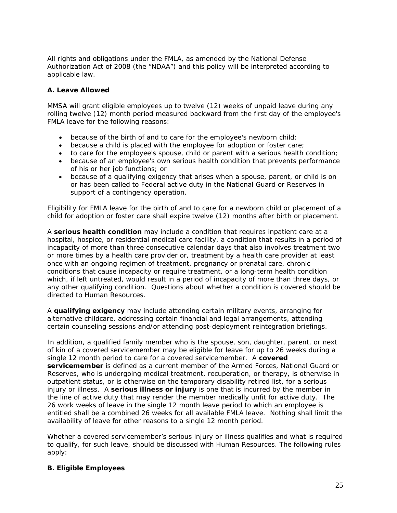All rights and obligations under the FMLA, as amended by the National Defense Authorization Act of 2008 (the "NDAA") and this policy will be interpreted according to applicable law.

# **A. Leave Allowed**

MMSA will grant eligible employees up to twelve (12) weeks of unpaid leave during any rolling twelve (12) month period measured backward from the first day of the employee's FMLA leave for the following reasons:

- because of the birth of and to care for the employee's newborn child;
- because a child is placed with the employee for adoption or foster care;
- to care for the employee's spouse, child or parent with a serious health condition;
- because of an employee's own serious health condition that prevents performance of his or her job functions; or
- because of a qualifying exigency that arises when a spouse, parent, or child is on or has been called to Federal active duty in the National Guard or Reserves in support of a contingency operation.

Eligibility for FMLA leave for the birth of and to care for a newborn child or placement of a child for adoption or foster care shall expire twelve (12) months after birth or placement.

A **serious health condition** may include a condition that requires inpatient care at a hospital, hospice, or residential medical care facility, a condition that results in a period of incapacity of more than three consecutive calendar days that also involves treatment two or more times by a health care provider or, treatment by a health care provider at least once with an ongoing regimen of treatment, pregnancy or prenatal care, chronic conditions that cause incapacity or require treatment, or a long-term health condition which, if left untreated, would result in a period of incapacity of more than three days, or any other qualifying condition. Questions about whether a condition is covered should be directed to Human Resources.

A **qualifying exigency** may include attending certain military events, arranging for alternative childcare, addressing certain financial and legal arrangements, attending certain counseling sessions and/or attending post-deployment reintegration briefings.

In addition, a qualified family member who is the spouse, son, daughter, parent, or next of kin of a covered servicemember may be eligible for leave for up to 26 weeks during a single 12 month period to care for a covered servicemember. A **covered servicemember** is defined as a current member of the Armed Forces, National Guard or Reserves, who is undergoing medical treatment, recuperation, or therapy, is otherwise in outpatient status, or is otherwise on the temporary disability retired list, for a serious injury or illness. A **serious illness or injury** is one that is incurred by the member in the line of active duty that may render the member medically unfit for active duty. The 26 work weeks of leave in the single 12 month leave period to which an employee is entitled shall be a combined 26 weeks for all available FMLA leave. Nothing shall limit the availability of leave for other reasons to a single 12 month period.

Whether a covered servicemember's serious injury or illness qualifies and what is required to qualify, for such leave, should be discussed with Human Resources. The following rules apply:

# **B. Eligible Employees**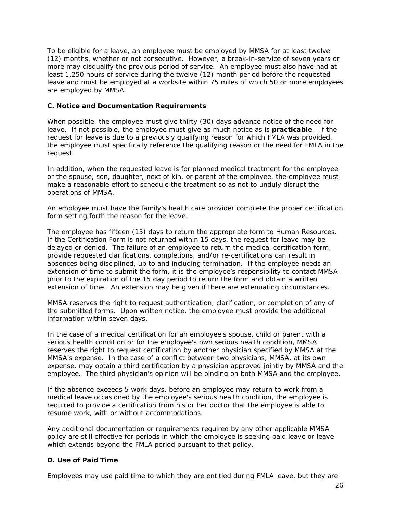To be eligible for a leave, an employee must be employed by MMSA for at least twelve (12) months, whether or not consecutive. However, a break-in-service of seven years or more may disqualify the previous period of service. An employee must also have had at least 1,250 hours of service during the twelve (12) month period before the requested leave and must be employed at a worksite within 75 miles of which 50 or more employees are employed by MMSA.

# **C. Notice and Documentation Requirements**

When possible, the employee must give thirty (30) days advance notice of the need for leave. If not possible, the employee must give as much notice as is **practicable**. If the request for leave is due to a previously qualifying reason for which FMLA was provided, the employee must specifically reference the qualifying reason or the need for FMLA in the request.

In addition, when the requested leave is for planned medical treatment for the employee or the spouse, son, daughter, next of kin, or parent of the employee, the employee must make a reasonable effort to schedule the treatment so as not to unduly disrupt the operations of MMSA.

An employee must have the family's health care provider complete the proper certification form setting forth the reason for the leave.

The employee has fifteen (15) days to return the appropriate form to Human Resources. If the Certification Form is not returned within 15 days, the request for leave may be delayed or denied. The failure of an employee to return the medical certification form, provide requested clarifications, completions, and/or re-certifications can result in absences being disciplined, up to and including termination. If the employee needs an extension of time to submit the form, it is the employee's responsibility to contact MMSA prior to the expiration of the 15 day period to return the form and obtain a written extension of time. An extension may be given if there are extenuating circumstances.

MMSA reserves the right to request authentication, clarification, or completion of any of the submitted forms. Upon written notice, the employee must provide the additional information within seven days.

In the case of a medical certification for an employee's spouse, child or parent with a serious health condition or for the employee's own serious health condition, MMSA reserves the right to request certification by another physician specified by MMSA at the MMSA's expense. In the case of a conflict between two physicians, MMSA, at its own expense, may obtain a third certification by a physician approved jointly by MMSA and the employee. The third physician's opinion will be binding on both MMSA and the employee.

If the absence exceeds 5 work days, before an employee may return to work from a medical leave occasioned by the employee's serious health condition, the employee is required to provide a certification from his or her doctor that the employee is able to resume work, with or without accommodations.

Any additional documentation or requirements required by any other applicable MMSA policy are still effective for periods in which the employee is seeking paid leave or leave which extends beyond the FMLA period pursuant to that policy.

# **D. Use of Paid Time**

Employees may use paid time to which they are entitled during FMLA leave, but they are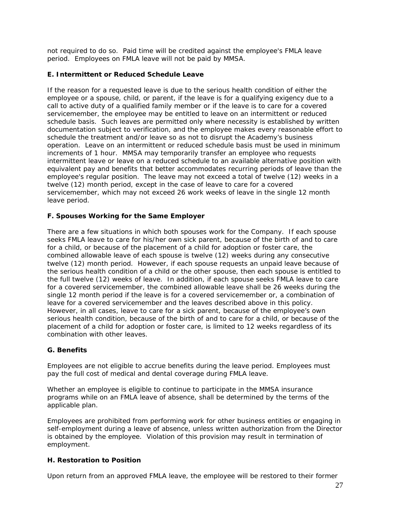not required to do so. Paid time will be credited against the employee's FMLA leave period. Employees on FMLA leave will not be paid by MMSA.

# **E. Intermittent or Reduced Schedule Leave**

If the reason for a requested leave is due to the serious health condition of either the employee or a spouse, child, or parent, if the leave is for a qualifying exigency due to a call to active duty of a qualified family member or if the leave is to care for a covered servicemember, the employee may be entitled to leave on an intermittent or reduced schedule basis. Such leaves are permitted only where necessity is established by written documentation subject to verification, and the employee makes every reasonable effort to schedule the treatment and/or leave so as not to disrupt the Academy's business operation. Leave on an intermittent or reduced schedule basis must be used in minimum increments of 1 hour. MMSA may temporarily transfer an employee who requests intermittent leave or leave on a reduced schedule to an available alternative position with equivalent pay and benefits that better accommodates recurring periods of leave than the employee's regular position. The leave may not exceed a total of twelve (12) weeks in a twelve (12) month period, except in the case of leave to care for a covered servicemember, which may not exceed 26 work weeks of leave in the single 12 month leave period.

# **F. Spouses Working for the Same Employer**

There are a few situations in which both spouses work for the Company. If each spouse seeks FMLA leave to care for his/her own sick parent, because of the birth of and to care for a child, or because of the placement of a child for adoption or foster care, the combined allowable leave of each spouse is twelve (12) weeks during any consecutive twelve (12) month period. However, if each spouse requests an unpaid leave because of the serious health condition of a child or the other spouse, then each spouse is entitled to the full twelve (12) weeks of leave. In addition, if each spouse seeks FMLA leave to care for a covered servicemember, the combined allowable leave shall be 26 weeks during the single 12 month period if the leave is for a covered servicemember or, a combination of leave for a covered servicemember and the leaves described above in this policy. However, in all cases, leave to care for a sick parent, because of the employee's own serious health condition, because of the birth of and to care for a child, or because of the placement of a child for adoption or foster care, is limited to 12 weeks regardless of its combination with other leaves.

# **G. Benefits**

Employees are not eligible to accrue benefits during the leave period. Employees must pay the full cost of medical and dental coverage during FMLA leave.

Whether an employee is eligible to continue to participate in the MMSA insurance programs while on an FMLA leave of absence, shall be determined by the terms of the applicable plan.

Employees are prohibited from performing work for other business entities or engaging in self-employment during a leave of absence, unless written authorization from the Director is obtained by the employee. Violation of this provision may result in termination of employment.

# **H. Restoration to Position**

Upon return from an approved FMLA leave, the employee will be restored to their former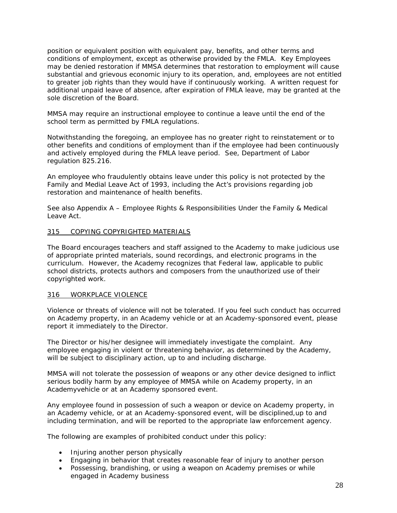position or equivalent position with equivalent pay, benefits, and other terms and conditions of employment, except as otherwise provided by the FMLA. Key Employees may be denied restoration if MMSA determines that restoration to employment will cause substantial and grievous economic injury to its operation, and, employees are not entitled to greater job rights than they would have if continuously working. A written request for additional unpaid leave of absence, after expiration of FMLA leave, may be granted at the sole discretion of the Board.

MMSA may require an instructional employee to continue a leave until the end of the school term as permitted by FMLA regulations.

Notwithstanding the foregoing, an employee has no greater right to reinstatement or to other benefits and conditions of employment than if the employee had been continuously and actively employed during the FMLA leave period. See, Department of Labor regulation 825.216.

An employee who fraudulently obtains leave under this policy is not protected by the Family and Medial Leave Act of 1993, including the Act's provisions regarding job restoration and maintenance of health benefits.

See also Appendix A – Employee Rights & Responsibilities Under the Family & Medical Leave Act.

#### 315 COPYING COPYRIGHTED MATERIALS

The Board encourages teachers and staff assigned to the Academy to make judicious use of appropriate printed materials, sound recordings, and electronic programs in the curriculum. However, the Academy recognizes that Federal law, applicable to public school districts, protects authors and composers from the unauthorized use of their copyrighted work.

#### 316 WORKPLACE VIOLENCE

Violence or threats of violence will not be tolerated. If you feel such conduct has occurred on Academy property, in an Academy vehicle or at an Academy-sponsored event, please report it immediately to the Director.

The Director or his/her designee will immediately investigate the complaint. Any employee engaging in violent or threatening behavior, as determined by the Academy, will be subject to disciplinary action, up to and including discharge.

MMSA will not tolerate the possession of weapons or any other device designed to inflict serious bodily harm by any employee of MMSA while on Academy property, in an Academyvehicle or at an Academy sponsored event.

Any employee found in possession of such a weapon or device on Academy property, in an Academy vehicle, or at an Academy-sponsored event, will be disciplined,up to and including termination, and will be reported to the appropriate law enforcement agency.

The following are examples of prohibited conduct under this policy:

- Injuring another person physically
- Engaging in behavior that creates reasonable fear of injury to another person
- Possessing, brandishing, or using a weapon on Academy premises or while engaged in Academy business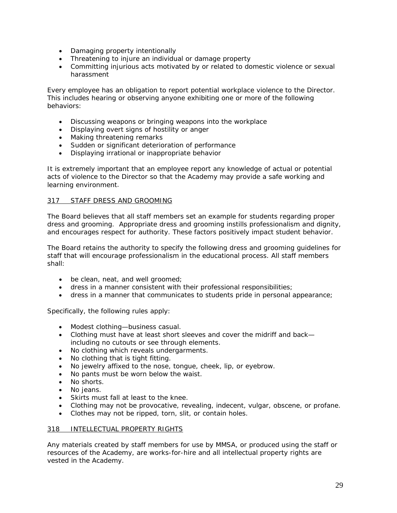- Damaging property intentionally
- Threatening to injure an individual or damage property
- Committing injurious acts motivated by or related to domestic violence or sexual harassment

Every employee has an obligation to report potential workplace violence to the Director. This includes hearing or observing anyone exhibiting one or more of the following behaviors:

- Discussing weapons or bringing weapons into the workplace
- Displaying overt signs of hostility or anger
- Making threatening remarks
- Sudden or significant deterioration of performance
- Displaying irrational or inappropriate behavior

It is extremely important that an employee report any knowledge of actual or potential acts of violence to the Director so that the Academy may provide a safe working and learning environment.

# 317 STAFF DRESS AND GROOMING

The Board believes that all staff members set an example for students regarding proper dress and grooming. Appropriate dress and grooming instills professionalism and dignity, and encourages respect for authority. These factors positively impact student behavior.

The Board retains the authority to specify the following dress and grooming guidelines for staff that will encourage professionalism in the educational process. All staff members shall:

- be clean, neat, and well groomed;
- dress in a manner consistent with their professional responsibilities;
- dress in a manner that communicates to students pride in personal appearance;

Specifically, the following rules apply:

- Modest clothing—business casual.
- Clothing must have at least short sleeves and cover the midriff and back including no cutouts or see through elements.
- No clothing which reveals undergarments.
- No clothing that is tight fitting.
- No jewelry affixed to the nose, tongue, cheek, lip, or eyebrow.
- No pants must be worn below the waist.
- No shorts.
- No ieans.
- Skirts must fall at least to the knee.
- Clothing may not be provocative, revealing, indecent, vulgar, obscene, or profane.
- Clothes may not be ripped, torn, slit, or contain holes.

# 318 INTELLECTUAL PROPERTY RIGHTS

Any materials created by staff members for use by MMSA, or produced using the staff or resources of the Academy, are works-for-hire and all intellectual property rights are vested in the Academy.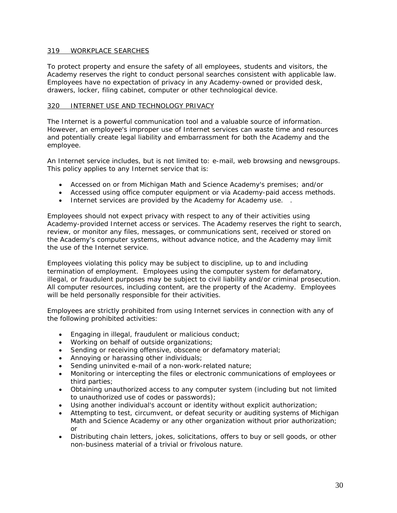# 319 WORKPLACE SEARCHES

To protect property and ensure the safety of all employees, students and visitors, the Academy reserves the right to conduct personal searches consistent with applicable law. Employees have no expectation of privacy in any Academy-owned or provided desk, drawers, locker, filing cabinet, computer or other technological device.

#### 320 INTERNET USE AND TECHNOLOGY PRIVACY

The Internet is a powerful communication tool and a valuable source of information. However, an employee's improper use of Internet services can waste time and resources and potentially create legal liability and embarrassment for both the Academy and the employee.

An Internet service includes, but is not limited to: e-mail, web browsing and newsgroups. This policy applies to any Internet service that is:

- Accessed on or from Michigan Math and Science Academy's premises; and/or
- Accessed using office computer equipment or via Academy-paid access methods.
- Internet services are provided by the Academy for Academy use. .

Employees should not expect privacy with respect to any of their activities using Academy-provided Internet access or services. The Academy reserves the right to search, review, or monitor any files, messages, or communications sent, received or stored on the Academy's computer systems, without advance notice, and the Academy may limit the use of the Internet service.

Employees violating this policy may be subject to discipline, up to and including termination of employment. Employees using the computer system for defamatory, illegal, or fraudulent purposes may be subject to civil liability and/or criminal prosecution. All computer resources, including content, are the property of the Academy. Employees will be held personally responsible for their activities.

Employees are strictly prohibited from using Internet services in connection with any of the following prohibited activities:

- Engaging in illegal, fraudulent or malicious conduct;
- Working on behalf of outside organizations;
- Sending or receiving offensive, obscene or defamatory material;
- Annoying or harassing other individuals;
- Sending uninvited e-mail of a non-work-related nature;
- Monitoring or intercepting the files or electronic communications of employees or third parties;
- Obtaining unauthorized access to any computer system (including but not limited to unauthorized use of codes or passwords);
- Using another individual's account or identity without explicit authorization;
- Attempting to test, circumvent, or defeat security or auditing systems of Michigan Math and Science Academy or any other organization without prior authorization; or
- Distributing chain letters, jokes, solicitations, offers to buy or sell goods, or other non-business material of a trivial or frivolous nature.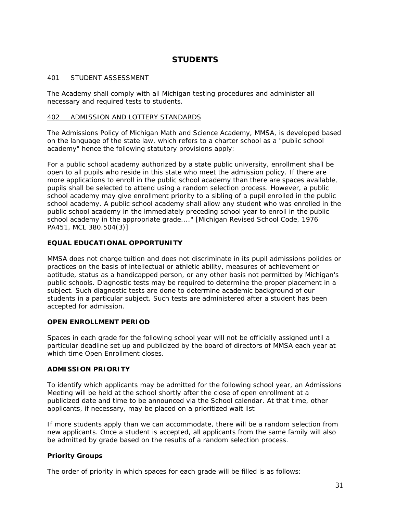# **STUDENTS**

## 401 STUDENT ASSESSMENT

The Academy shall comply with all Michigan testing procedures and administer all necessary and required tests to students.

#### 402 ADMISSION AND LOTTERY STANDARDS

The Admissions Policy of Michigan Math and Science Academy, MMSA, is developed based on the language of the state law, which refers to a charter school as a "public school academy" hence the following statutory provisions apply:

For a public school academy authorized by a state public university, enrollment shall be open to all pupils who reside in this state who meet the admission policy. If there are more applications to enroll in the public school academy than there are spaces available, pupils shall be selected to attend using a random selection process. However, a public school academy may give enrollment priority to a sibling of a pupil enrolled in the public school academy. A public school academy shall allow any student who was enrolled in the public school academy in the immediately preceding school year to enroll in the public school academy in the appropriate grade...." [Michigan Revised School Code, 1976 PA451, MCL 380.504(3)]

# **EQUAL EDUCATIONAL OPPORTUNITY**

MMSA does not charge tuition and does not discriminate in its pupil admissions policies or practices on the basis of intellectual or athletic ability, measures of achievement or aptitude, status as a handicapped person, or any other basis not permitted by Michigan's public schools. Diagnostic tests may be required to determine the proper placement in a subject. Such diagnostic tests are done to determine academic background of our students in a particular subject. Such tests are administered after a student has been accepted for admission.

# **OPEN ENROLLMENT PERIOD**

Spaces in each grade for the following school year will not be officially assigned until a particular deadline set up and publicized by the board of directors of MMSA each year at which time Open Enrollment closes.

#### **ADMISSION PRIORITY**

To identify which applicants may be admitted for the following school year, an Admissions Meeting will be held at the school shortly after the close of open enrollment at a publicized date and time to be announced via the School calendar. At that time, other applicants, if necessary, may be placed on a prioritized wait list

If more students apply than we can accommodate, there will be a random selection from new applicants. Once a student is accepted, all applicants from the same family will also be admitted by grade based on the results of a random selection process.

# **Priority Groups**

The order of priority in which spaces for each grade will be filled is as follows: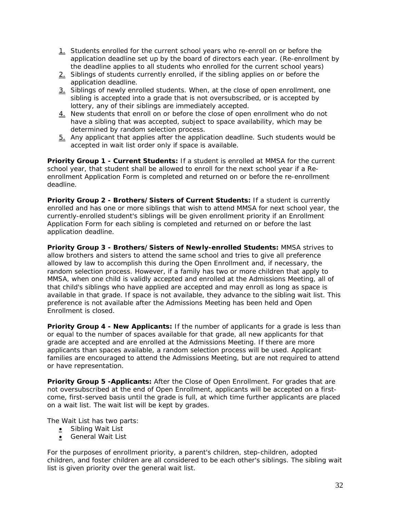- 1. Students enrolled for the current school years who re-enroll on or before the application deadline set up by the board of directors each year. (Re-enrollment by the deadline applies to all students who enrolled for the current school years)
- 2. Siblings of students currently enrolled, if the sibling applies on or before the application deadline.
- 3. Siblings of newly enrolled students. When, at the close of open enrollment, one sibling is accepted into a grade that is not oversubscribed, or is accepted by lottery, any of their siblings are immediately accepted.
- 4. New students that enroll on or before the close of open enrollment who do not have a sibling that was accepted, subject to space availability, which may be determined by random selection process.
- 5. Any applicant that applies after the application deadline. Such students would be accepted in wait list order only if space is available.

**Priority Group 1 - Current Students:** If a student is enrolled at MMSA for the current school year, that student shall be allowed to enroll for the next school year if a Reenrollment Application Form is completed and returned on or before the re-enrollment deadline.

**Priority Group 2 - Brothers/Sisters of Current Students:** If a student is currently enrolled and has one or more siblings that wish to attend MMSA for next school year, the currently-enrolled student's siblings will be given enrollment priority if an Enrollment Application Form for each sibling is completed and returned on or before the last application deadline.

**Priority Group 3 - Brothers/Sisters of Newly-enrolled Students:** MMSA strives to allow brothers and sisters to attend the same school and tries to give all preference allowed by law to accomplish this during the Open Enrollment and, if necessary, the random selection process. However, if a family has two or more children that apply to MMSA, when one child is validly accepted and enrolled at the Admissions Meeting, all of that child's siblings who have applied are accepted and may enroll as long as space is available in that grade. If space is not available, they advance to the sibling wait list. This preference is not available after the Admissions Meeting has been held and Open Enrollment is closed.

**Priority Group 4 - New Applicants:** If the number of applicants for a grade is less than or equal to the number of spaces available for that grade, all new applicants for that grade are accepted and are enrolled at the Admissions Meeting. If there are more applicants than spaces available, a random selection process will be used. Applicant families are encouraged to attend the Admissions Meeting, but are not required to attend or have representation.

**Priority Group 5 -Applicants:** After the Close of Open Enrollment. For grades that are not oversubscribed at the end of Open Enrollment, applicants will be accepted on a firstcome, first-served basis until the grade is full, at which time further applicants are placed on a wait list. The wait list will be kept by grades.

The Wait List has two parts:

- Sibling Wait List
- General Wait List

For the purposes of enrollment priority, a parent's children, step-children, adopted children, and foster children are all considered to be each other's siblings. The sibling wait list is given priority over the general wait list.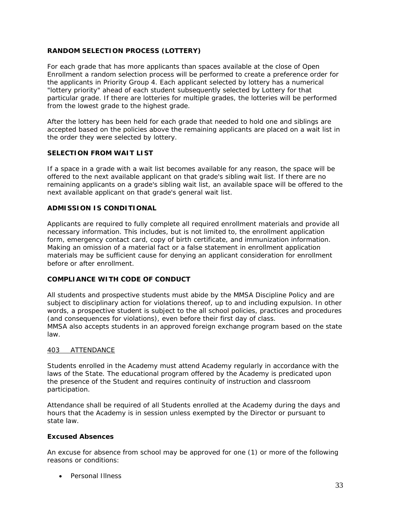# **RANDOM SELECTION PROCESS (LOTTERY)**

For each grade that has more applicants than spaces available at the close of Open Enrollment a random selection process will be performed to create a preference order for the applicants in Priority Group 4. Each applicant selected by lottery has a numerical "lottery priority" ahead of each student subsequently selected by Lottery for that particular grade. If there are lotteries for multiple grades, the lotteries will be performed from the lowest grade to the highest grade.

After the lottery has been held for each grade that needed to hold one and siblings are accepted based on the policies above the remaining applicants are placed on a wait list in the order they were selected by lottery.

# **SELECTION FROM WAIT LIST**

If a space in a grade with a wait list becomes available for any reason, the space will be offered to the next available applicant on that grade's sibling wait list. If there are no remaining applicants on a grade's sibling wait list, an available space will be offered to the next available applicant on that grade's general wait list.

#### **ADMISSION IS CONDITIONAL**

Applicants are required to fully complete all required enrollment materials and provide all necessary information. This includes, but is not limited to, the enrollment application form, emergency contact card, copy of birth certificate, and immunization information. Making an omission of a material fact or a false statement in enrollment application materials may be sufficient cause for denying an applicant consideration for enrollment before or after enrollment.

#### **COMPLIANCE WITH CODE OF CONDUCT**

All students and prospective students must abide by the MMSA Discipline Policy and are subject to disciplinary action for violations thereof, up to and including expulsion. In other words, a prospective student is subject to the all school policies, practices and procedures (and consequences for violations), even before their first day of class. MMSA also accepts students in an approved foreign exchange program based on the state law.

#### 403 ATTENDANCE

Students enrolled in the Academy must attend Academy regularly in accordance with the laws of the State. The educational program offered by the Academy is predicated upon the presence of the Student and requires continuity of instruction and classroom participation.

Attendance shall be required of all Students enrolled at the Academy during the days and hours that the Academy is in session unless exempted by the Director or pursuant to state law.

# **Excused Absences**

An excuse for absence from school may be approved for one (1) or more of the following reasons or conditions:

• Personal Illness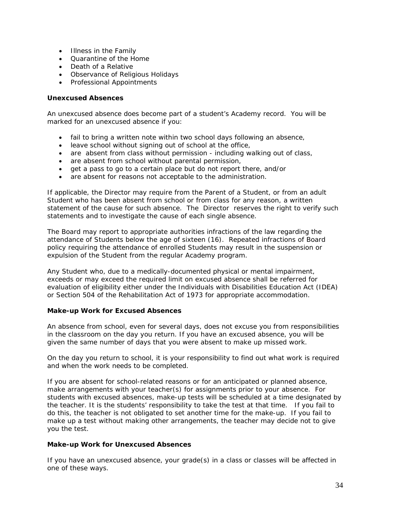- Illness in the Family
- Quarantine of the Home
- Death of a Relative
- Observance of Religious Holidays
- Professional Appointments

# **Unexcused Absences**

An unexcused absence does become part of a student's Academy record. You will be marked for an unexcused absence if you:

- fail to bring a written note within two school days following an absence,
- leave school without signing out of school at the office,
- are absent from class without permission including walking out of class,
- are absent from school without parental permission,
- get a pass to go to a certain place but do not report there, and/or
- are absent for reasons not acceptable to the administration.

If applicable, the Director may require from the Parent of a Student, or from an adult Student who has been absent from school or from class for any reason, a written statement of the cause for such absence. The Director reserves the right to verify such statements and to investigate the cause of each single absence.

The Board may report to appropriate authorities infractions of the law regarding the attendance of Students below the age of sixteen (16). Repeated infractions of Board policy requiring the attendance of enrolled Students may result in the suspension or expulsion of the Student from the regular Academy program.

Any Student who, due to a medically-documented physical or mental impairment, exceeds or may exceed the required limit on excused absence shall be referred for evaluation of eligibility either under the Individuals with Disabilities Education Act (IDEA) or Section 504 of the Rehabilitation Act of 1973 for appropriate accommodation.

# **Make-up Work for Excused Absences**

An absence from school, even for several days, does not excuse you from responsibilities in the classroom on the day you return. If you have an excused absence, you will be given the same number of days that you were absent to make up missed work.

On the day you return to school, it is your responsibility to find out what work is required and when the work needs to be completed.

If you are absent for school-related reasons or for an anticipated or planned absence, make arrangements with your teacher(s) for assignments prior to your absence. For students with excused absences, make-up tests will be scheduled at a time designated by the teacher. It is the students' responsibility to take the test at that time. If you fail to do this, the teacher is not obligated to set another time for the make-up. If you fail to make up a test without making other arrangements, the teacher may decide not to give you the test.

# **Make-up Work for Unexcused Absences**

If you have an unexcused absence, your grade(s) in a class or classes will be affected in one of these ways.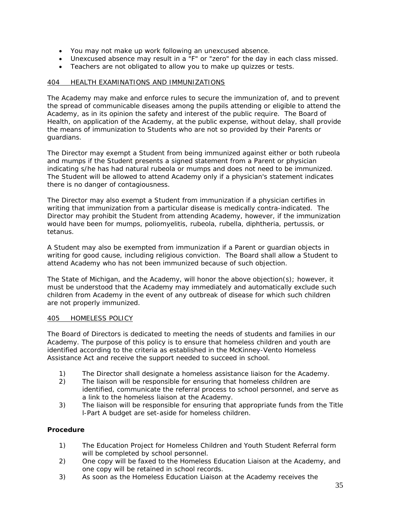- You may not make up work following an unexcused absence.
- Unexcused absence may result in a "F" or "zero" for the day in each class missed.
- Teachers are not obligated to allow you to make up quizzes or tests.

# 404 HEALTH EXAMINATIONS AND IMMUNIZATIONS

The Academy may make and enforce rules to secure the immunization of, and to prevent the spread of communicable diseases among the pupils attending or eligible to attend the Academy, as in its opinion the safety and interest of the public require. The Board of Health, on application of the Academy, at the public expense, without delay, shall provide the means of immunization to Students who are not so provided by their Parents or guardians.

The Director may exempt a Student from being immunized against either or both rubeola and mumps if the Student presents a signed statement from a Parent or physician indicating s/he has had natural rubeola or mumps and does not need to be immunized. The Student will be allowed to attend Academy only if a physician's statement indicates there is no danger of contagiousness.

The Director may also exempt a Student from immunization if a physician certifies in writing that immunization from a particular disease is medically contra-indicated. The Director may prohibit the Student from attending Academy, however, if the immunization would have been for mumps, poliomyelitis, rubeola, rubella, diphtheria, pertussis, or tetanus.

A Student may also be exempted from immunization if a Parent or guardian objects in writing for good cause, including religious conviction. The Board shall allow a Student to attend Academy who has not been immunized because of such objection.

The State of Michigan, and the Academy, will honor the above objection(s); however, it must be understood that the Academy may immediately and automatically exclude such children from Academy in the event of any outbreak of disease for which such children are not properly immunized.

#### 405 HOMELESS POLICY

The Board of Directors is dedicated to meeting the needs of students and families in our Academy. The purpose of this policy is to ensure that homeless children and youth are identified according to the criteria as established in the McKinney-Vento Homeless Assistance Act and receive the support needed to succeed in school.

- 1) The Director shall designate a homeless assistance liaison for the Academy.
- 2) The liaison will be responsible for ensuring that homeless children are identified, communicate the referral process to school personnel, and serve as a link to the homeless liaison at the Academy.
- 3) The liaison will be responsible for ensuring that appropriate funds from the Title l-Part A budget are set-aside for homeless children.

# **Procedure**

- 1) The Education Project for Homeless Children and Youth Student Referral form will be completed by school personnel.
- 2) One copy will be faxed to the Homeless Education Liaison at the Academy, and one copy will be retained in school records.
- 3) As soon as the Homeless Education Liaison at the Academy receives the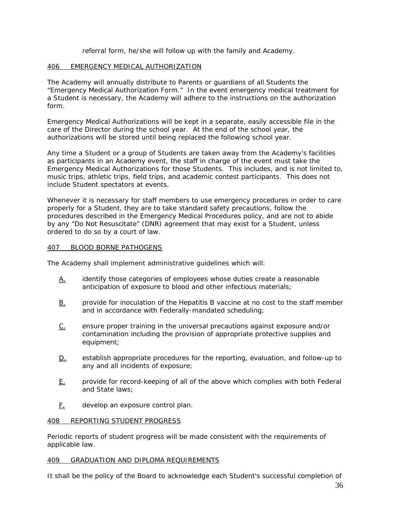referral form, he/she will follow up with the family and Academy.

# 406 EMERGENCY MEDICAL AUTHORIZATION

The Academy will annually distribute to Parents or guardians of all Students the "Emergency Medical Authorization Form." In the event emergency medical treatment for a Student is necessary, the Academy will adhere to the instructions on the authorization form.

Emergency Medical Authorizations will be kept in a separate, easily accessible file in the care of the Director during the school year. At the end of the school year, the authorizations will be stored until being replaced the following school year.

Any time a Student or a group of Students are taken away from the Academy's facilities as participants in an Academy event, the staff in charge of the event must take the Emergency Medical Authorizations for those Students. This includes, and is not limited to, music trips, athletic trips, field trips, and academic contest participants. This does not include Student spectators at events.

Whenever it is necessary for staff members to use emergency procedures in order to care properly for a Student, they are to take standard safety precautions, follow the procedures described in the Emergency Medical Procedures policy, and are not to abide by any "Do Not Resuscitate" (DNR) agreement that may exist for a Student, unless ordered to do so by a court of law.

# 407 BLOOD BORNE PATHOGENS

The Academy shall implement administrative guidelines which will:

- A. identify those categories of employees whose duties create a reasonable anticipation of exposure to blood and other infectious materials;
- B. provide for inoculation of the Hepatitis B vaccine at no cost to the staff member and in accordance with Federally-mandated scheduling;
- C. ensure proper training in the universal precautions against exposure and/or contamination including the provision of appropriate protective supplies and equipment;
- D. establish appropriate procedures for the reporting, evaluation, and follow-up to any and all incidents of exposure;
- E. provide for record-keeping of all of the above which complies with both Federal and State laws;
- F. develop an exposure control plan.

# 408 REPORTING STUDENT PROGRESS

Periodic reports of student progress will be made consistent with the requirements of applicable law.

# 409 GRADUATION AND DIPLOMA REQUIREMENTS

It shall be the policy of the Board to acknowledge each Student's successful completion of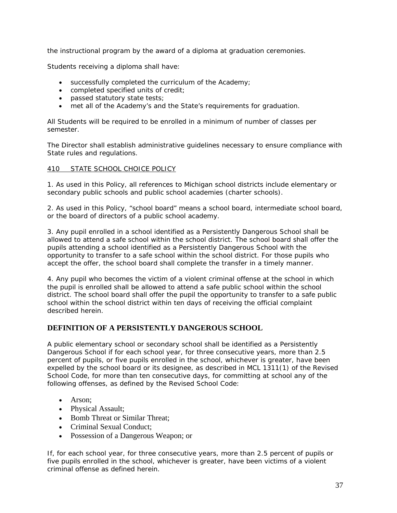the instructional program by the award of a diploma at graduation ceremonies.

Students receiving a diploma shall have:

- successfully completed the curriculum of the Academy;
- completed specified units of credit;
- passed statutory state tests;
- met all of the Academy's and the State's requirements for graduation.

All Students will be required to be enrolled in a minimum of number of classes per semester.

The Director shall establish administrative guidelines necessary to ensure compliance with State rules and regulations.

### 410 STATE SCHOOL CHOICE POLICY

1. As used in this Policy, all references to Michigan school districts include elementary or secondary public schools and public school academies (charter schools).

2. As used in this Policy, "school board" means a school board, intermediate school board, or the board of directors of a public school academy.

3. Any pupil enrolled in a school identified as a Persistently Dangerous School shall be allowed to attend a safe school within the school district. The school board shall offer the pupils attending a school identified as a Persistently Dangerous School with the opportunity to transfer to a safe school within the school district. For those pupils who accept the offer, the school board shall complete the transfer in a timely manner.

4. Any pupil who becomes the victim of a violent criminal offense at the school in which the pupil is enrolled shall be allowed to attend a safe public school within the school district. The school board shall offer the pupil the opportunity to transfer to a safe public school within the school district within ten days of receiving the official complaint described herein.

# **DEFINITION OF A PERSISTENTLY DANGEROUS SCHOOL**

A public elementary school or secondary school shall be identified as a Persistently Dangerous School if for each school year, for three consecutive years, more than 2.5 percent of pupils, or five pupils enrolled in the school, whichever is greater, have been expelled by the school board or its designee, as described in MCL 1311(1) of the Revised School Code, for more than ten consecutive days, for committing at school any of the following offenses, as defined by the Revised School Code:

- Arson;
- Physical Assault;
- Bomb Threat or Similar Threat:
- Criminal Sexual Conduct;
- Possession of a Dangerous Weapon; or

If, for each school year, for three consecutive years, more than 2.5 percent of pupils or five pupils enrolled in the school, whichever is greater, have been victims of a violent criminal offense as defined herein.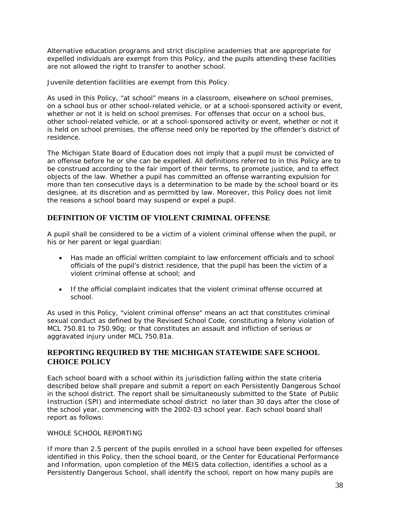Alternative education programs and strict discipline academies that are appropriate for expelled individuals are exempt from this Policy, and the pupils attending these facilities are not allowed the right to transfer to another school.

Juvenile detention facilities are exempt from this Policy.

As used in this Policy, "at school" means in a classroom, elsewhere on school premises, on a school bus or other school-related vehicle, or at a school-sponsored activity or event, whether or not it is held on school premises. For offenses that occur on a school bus, other school-related vehicle, or at a school-sponsored activity or event, whether or not it is held on school premises, the offense need only be reported by the offender's district of residence.

The Michigan State Board of Education does not imply that a pupil must be convicted of an offense before he or she can be expelled. All definitions referred to in this Policy are to be construed according to the fair import of their terms, to promote justice, and to effect objects of the law. Whether a pupil has committed an offense warranting expulsion for more than ten consecutive days is a determination to be made by the school board or its designee, at its discretion and as permitted by law. Moreover, this Policy does not limit the reasons a school board may suspend or expel a pupil.

# **DEFINITION OF VICTIM OF VIOLENT CRIMINAL OFFENSE**

A pupil shall be considered to be a victim of a violent criminal offense when the pupil, or his or her parent or legal guardian:

- Has made an official written complaint to law enforcement officials and to school officials of the pupil's district residence, that the pupil has been the victim of a violent criminal offense at school; and
- If the official complaint indicates that the violent criminal offense occurred at school.

As used in this Policy, "violent criminal offense" means an act that constitutes criminal sexual conduct as defined by the Revised School Code, constituting a felony violation of MCL 750.81 to 750.90g; or that constitutes an assault and infliction of serious or aggravated injury under MCL 750.81a.

# **REPORTING REQUIRED BY THE MICHIGAN STATEWIDE SAFE SCHOOL CHOICE POLICY**

Each school board with a school within its jurisdiction falling within the state criteria described below shall prepare and submit a report on each Persistently Dangerous School in the school district. The report shall be simultaneously submitted to the State of Public Instruction (SPI) and intermediate school district no later than 30 days after the close of the school year, commencing with the 2002-03 school year. Each school board shall report as follows:

### WHOLE SCHOOL REPORTING

If more than 2.5 percent of the pupils enrolled in a school have been expelled for offenses identified in this Policy, then the school board, or the Center for Educational Performance and Information, upon completion of the MEIS data collection, identifies a school as a Persistently Dangerous School, shall identify the school, report on how many pupils are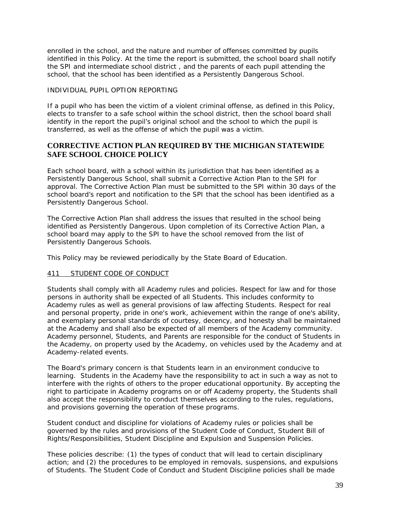enrolled in the school, and the nature and number of offenses committed by pupils identified in this Policy. At the time the report is submitted, the school board shall notify the SPI and intermediate school district , and the parents of each pupil attending the school, that the school has been identified as a Persistently Dangerous School.

### INDIVIDUAL PUPIL OPTION REPORTING

If a pupil who has been the victim of a violent criminal offense, as defined in this Policy, elects to transfer to a safe school within the school district, then the school board shall identify in the report the pupil's original school and the school to which the pupil is transferred, as well as the offense of which the pupil was a victim.

# **CORRECTIVE ACTION PLAN REQUIRED BY THE MICHIGAN STATEWIDE SAFE SCHOOL CHOICE POLICY**

Each school board, with a school within its jurisdiction that has been identified as a Persistently Dangerous School, shall submit a Corrective Action Plan to the SPI for approval. The Corrective Action Plan must be submitted to the SPI within 30 days of the school board's report and notification to the SPI that the school has been identified as a Persistently Dangerous School.

The Corrective Action Plan shall address the issues that resulted in the school being identified as Persistently Dangerous. Upon completion of its Corrective Action Plan, a school board may apply to the SPI to have the school removed from the list of Persistently Dangerous Schools.

This Policy may be reviewed periodically by the State Board of Education.

### 411 STUDENT CODE OF CONDUCT

Students shall comply with all Academy rules and policies. Respect for law and for those persons in authority shall be expected of all Students. This includes conformity to Academy rules as well as general provisions of law affecting Students. Respect for real and personal property, pride in one's work, achievement within the range of one's ability, and exemplary personal standards of courtesy, decency, and honesty shall be maintained at the Academy and shall also be expected of all members of the Academy community. Academy personnel, Students, and Parents are responsible for the conduct of Students in the Academy, on property used by the Academy, on vehicles used by the Academy and at Academy-related events.

The Board's primary concern is that Students learn in an environment conducive to learning. Students in the Academy have the responsibility to act in such a way as not to interfere with the rights of others to the proper educational opportunity. By accepting the right to participate in Academy programs on or off Academy property, the Students shall also accept the responsibility to conduct themselves according to the rules, regulations, and provisions governing the operation of these programs.

Student conduct and discipline for violations of Academy rules or policies shall be governed by the rules and provisions of the Student Code of Conduct, Student Bill of Rights/Responsibilities, Student Discipline and Expulsion and Suspension Policies.

These policies describe: (1) the types of conduct that will lead to certain disciplinary action; and (2) the procedures to be employed in removals, suspensions, and expulsions of Students. The Student Code of Conduct and Student Discipline policies shall be made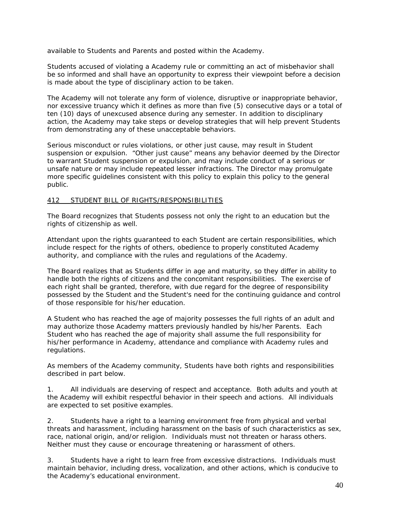available to Students and Parents and posted within the Academy.

Students accused of violating a Academy rule or committing an act of misbehavior shall be so informed and shall have an opportunity to express their viewpoint before a decision is made about the type of disciplinary action to be taken.

The Academy will not tolerate any form of violence, disruptive or inappropriate behavior, nor excessive truancy which it defines as more than five (5) consecutive days or a total of ten (10) days of unexcused absence during any semester. In addition to disciplinary action, the Academy may take steps or develop strategies that will help prevent Students from demonstrating any of these unacceptable behaviors.

Serious misconduct or rules violations, or other just cause, may result in Student suspension or expulsion. "Other just cause" means any behavior deemed by the Director to warrant Student suspension or expulsion, and may include conduct of a serious or unsafe nature or may include repeated lesser infractions. The Director may promulgate more specific guidelines consistent with this policy to explain this policy to the general public.

### 412 STUDENT BILL OF RIGHTS/RESPONSIBILITIES

The Board recognizes that Students possess not only the right to an education but the rights of citizenship as well.

Attendant upon the rights guaranteed to each Student are certain responsibilities, which include respect for the rights of others, obedience to properly constituted Academy authority, and compliance with the rules and regulations of the Academy.

The Board realizes that as Students differ in age and maturity, so they differ in ability to handle both the rights of citizens and the concomitant responsibilities. The exercise of each right shall be granted, therefore, with due regard for the degree of responsibility possessed by the Student and the Student's need for the continuing guidance and control of those responsible for his/her education.

A Student who has reached the age of majority possesses the full rights of an adult and may authorize those Academy matters previously handled by his/her Parents. Each Student who has reached the age of majority shall assume the full responsibility for his/her performance in Academy, attendance and compliance with Academy rules and regulations.

As members of the Academy community, Students have both rights and responsibilities described in part below.

1. All individuals are deserving of respect and acceptance. Both adults and youth at the Academy will exhibit respectful behavior in their speech and actions. All individuals are expected to set positive examples.

2. Students have a right to a learning environment free from physical and verbal threats and harassment, including harassment on the basis of such characteristics as sex, race, national origin, and/or religion. Individuals must not threaten or harass others. Neither must they cause or encourage threatening or harassment of others.

3. Students have a right to learn free from excessive distractions. Individuals must maintain behavior, including dress, vocalization, and other actions, which is conducive to the Academy's educational environment.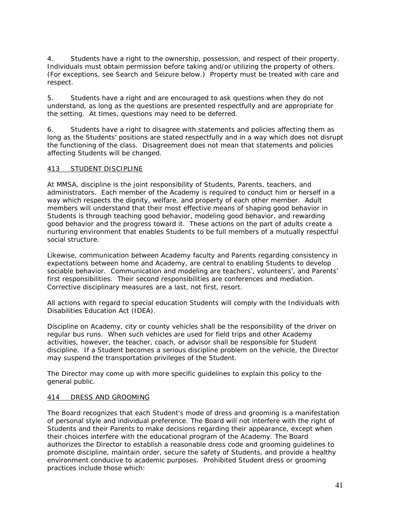4. Students have a right to the ownership, possession, and respect of their property. Individuals must obtain permission before taking and/or utilizing the property of others. (For exceptions, see Search and Seizure below.) Property must be treated with care and respect.

5. Students have a right and are encouraged to ask questions when they do not understand, as long as the questions are presented respectfully and are appropriate for the setting. At times, questions may need to be deferred.

6. Students have a right to disagree with statements and policies affecting them as long as the Students' positions are stated respectfully and in a way which does not disrupt the functioning of the class. Disagreement does not mean that statements and policies affecting Students will be changed.

### 413 STUDENT DISCIPLINE

At MMSA, discipline is the joint responsibility of Students, Parents, teachers, and administrators. Each member of the Academy is required to conduct him or herself in a way which respects the dignity, welfare, and property of each other member. Adult members will understand that their most effective means of shaping good behavior in Students is through teaching good behavior, modeling good behavior, and rewarding good behavior and the progress toward it. These actions on the part of adults create a nurturing environment that enables Students to be full members of a mutually respectful social structure.

Likewise, communication between Academy faculty and Parents regarding consistency in expectations between home and Academy, are central to enabling Students to develop sociable behavior. Communication and modeling are teachers', volunteers', and Parents' first responsibilities. Their second responsibilities are conferences and mediation. Corrective disciplinary measures are a last, not first, resort.

All actions with regard to special education Students will comply with the Individuals with Disabilities Education Act (IDEA).

Discipline on Academy, city or county vehicles shall be the responsibility of the driver on regular bus runs. When such vehicles are used for field trips and other Academy activities, however, the teacher, coach, or advisor shall be responsible for Student discipline. If a Student becomes a serious discipline problem on the vehicle, the Director may suspend the transportation privileges of the Student.

The Director may come up with more specific guidelines to explain this policy to the general public.

### 414 DRESS AND GROOMING

The Board recognizes that each Student's mode of dress and grooming is a manifestation of personal style and individual preference. The Board will not interfere with the right of Students and their Parents to make decisions regarding their appearance, except when their choices interfere with the educational program of the Academy. The Board authorizes the Director to establish a reasonable dress code and grooming guidelines to promote discipline, maintain order, secure the safety of Students, and provide a healthy environment conducive to academic purposes. Prohibited Student dress or grooming practices include those which: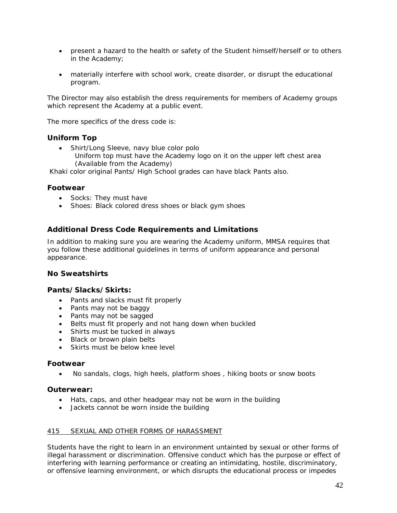- present a hazard to the health or safety of the Student himself/herself or to others in the Academy;
- materially interfere with school work, create disorder, or disrupt the educational program.

The Director may also establish the dress requirements for members of Academy groups which represent the Academy at a public event.

The more specifics of the dress code is:

### **Uniform Top**

• Shirt/Long Sleeve, navy blue color polo Uniform top must have the Academy logo on it on the upper left chest area (Available from the Academy)

Khaki color original Pants/ High School grades can have black Pants also.

### **Footwear**

- Socks: They must have
- Shoes: Black colored dress shoes or black gym shoes

# **Additional Dress Code Requirements and Limitations**

In addition to making sure you are wearing the Academy uniform, MMSA requires that you follow these additional guidelines in terms of uniform appearance and personal appearance.

### **No Sweatshirts**

### **Pants/Slacks/Skirts:**

- Pants and slacks must fit properly
- Pants may not be baggy
- Pants may not be sagged
- Belts must fit properly and not hang down when buckled
- Shirts must be tucked in always
- Black or brown plain belts
- Skirts must be below knee level

### **Footwear**

• No sandals, clogs, high heels, platform shoes , hiking boots or snow boots

### **Outerwear:**

- Hats, caps, and other headgear may not be worn in the building
- Jackets cannot be worn inside the building

### 415 SEXUAL AND OTHER FORMS OF HARASSMENT

Students have the right to learn in an environment untainted by sexual or other forms of illegal harassment or discrimination. Offensive conduct which has the purpose or effect of interfering with learning performance or creating an intimidating, hostile, discriminatory, or offensive learning environment, or which disrupts the educational process or impedes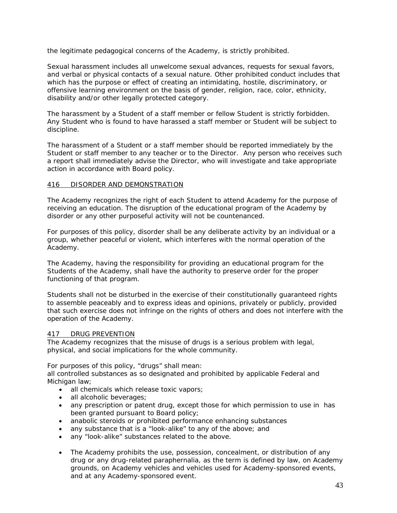the legitimate pedagogical concerns of the Academy, is strictly prohibited.

Sexual harassment includes all unwelcome sexual advances, requests for sexual favors, and verbal or physical contacts of a sexual nature. Other prohibited conduct includes that which has the purpose or effect of creating an intimidating, hostile, discriminatory, or offensive learning environment on the basis of gender, religion, race, color, ethnicity, disability and/or other legally protected category.

The harassment by a Student of a staff member or fellow Student is strictly forbidden. Any Student who is found to have harassed a staff member or Student will be subject to discipline.

The harassment of a Student or a staff member should be reported immediately by the Student or staff member to any teacher or to the Director. Any person who receives such a report shall immediately advise the Director, who will investigate and take appropriate action in accordance with Board policy.

### 416 DISORDER AND DEMONSTRATION

The Academy recognizes the right of each Student to attend Academy for the purpose of receiving an education. The disruption of the educational program of the Academy by disorder or any other purposeful activity will not be countenanced.

For purposes of this policy, disorder shall be any deliberate activity by an individual or a group, whether peaceful or violent, which interferes with the normal operation of the Academy.

The Academy, having the responsibility for providing an educational program for the Students of the Academy, shall have the authority to preserve order for the proper functioning of that program.

Students shall not be disturbed in the exercise of their constitutionally guaranteed rights to assemble peaceably and to express ideas and opinions, privately or publicly, provided that such exercise does not infringe on the rights of others and does not interfere with the operation of the Academy.

#### 417 DRUG PREVENTION

The Academy recognizes that the misuse of drugs is a serious problem with legal, physical, and social implications for the whole community.

For purposes of this policy, "drugs" shall mean:

all controlled substances as so designated and prohibited by applicable Federal and Michigan law;

- all chemicals which release toxic vapors;
- all alcoholic beverages:
- any prescription or patent drug, except those for which permission to use in has been granted pursuant to Board policy;
- anabolic steroids or prohibited performance enhancing substances
- any substance that is a "look-alike" to any of the above; and
- any "look-alike" substances related to the above.
- The Academy prohibits the use, possession, concealment, or distribution of any drug or any drug-related paraphernalia, as the term is defined by law, on Academy grounds, on Academy vehicles and vehicles used for Academy-sponsored events, and at any Academy-sponsored event.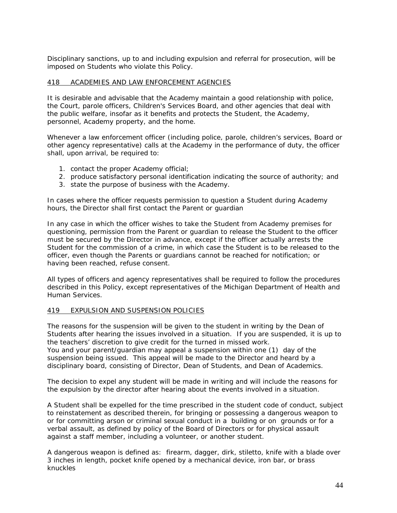Disciplinary sanctions, up to and including expulsion and referral for prosecution, will be imposed on Students who violate this Policy.

### 418 ACADEMIES AND LAW ENFORCEMENT AGENCIES

It is desirable and advisable that the Academy maintain a good relationship with police, the Court, parole officers, Children's Services Board, and other agencies that deal with the public welfare, insofar as it benefits and protects the Student, the Academy, personnel, Academy property, and the home.

Whenever a law enforcement officer (including police, parole, children's services, Board or other agency representative) calls at the Academy in the performance of duty, the officer shall, upon arrival, be required to:

- 1. contact the proper Academy official;
- 2. produce satisfactory personal identification indicating the source of authority; and
- 3. state the purpose of business with the Academy.

In cases where the officer requests permission to question a Student during Academy hours, the Director shall first contact the Parent or guardian

In any case in which the officer wishes to take the Student from Academy premises for questioning, permission from the Parent or guardian to release the Student to the officer must be secured by the Director in advance, except if the officer actually arrests the Student for the commission of a crime, in which case the Student is to be released to the officer, even though the Parents or guardians cannot be reached for notification; or having been reached, refuse consent.

All types of officers and agency representatives shall be required to follow the procedures described in this Policy, except representatives of the Michigan Department of Health and Human Services.

#### 419 EXPULSION AND SUSPENSION POLICIES

The reasons for the suspension will be given to the student in writing by the Dean of Students after hearing the issues involved in a situation. If you are suspended, it is up to the teachers' discretion to give credit for the turned in missed work.

You and your parent/guardian may appeal a suspension within one (1) day of the suspension being issued. This appeal will be made to the Director and heard by a disciplinary board, consisting of Director, Dean of Students, and Dean of Academics.

The decision to expel any student will be made in writing and will include the reasons for the expulsion by the director after hearing about the events involved in a situation.

A Student shall be expelled for the time prescribed in the student code of conduct, subject to reinstatement as described therein, for bringing or possessing a dangerous weapon to or for committing arson or criminal sexual conduct in a building or on grounds or for a verbal assault, as defined by policy of the Board of Directors or for physical assault against a staff member, including a volunteer, or another student.

A dangerous weapon is defined as: firearm, dagger, dirk, stiletto, knife with a blade over 3 inches in length, pocket knife opened by a mechanical device, iron bar, or brass knuckles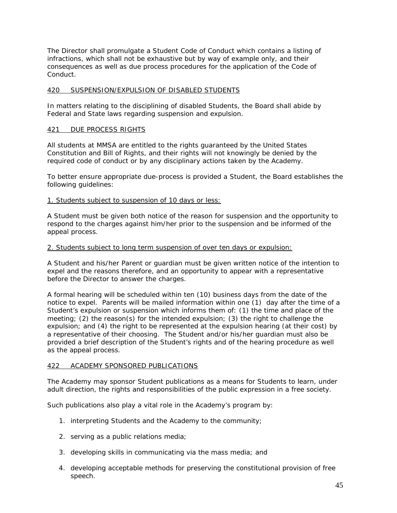The Director shall promulgate a Student Code of Conduct which contains a listing of infractions, which shall not be exhaustive but by way of example only, and their consequences as well as due process procedures for the application of the Code of Conduct.

### 420 SUSPENSION/EXPULSION OF DISABLED STUDENTS

In matters relating to the disciplining of disabled Students, the Board shall abide by Federal and State laws regarding suspension and expulsion.

#### 421 DUE PROCESS RIGHTS

All students at MMSA are entitled to the rights guaranteed by the United States Constitution and Bill of Rights, and their rights will not knowingly be denied by the required code of conduct or by any disciplinary actions taken by the Academy.

To better ensure appropriate due-process is provided a Student, the Board establishes the following guidelines:

1. Students subject to suspension of 10 days or less:

A Student must be given both notice of the reason for suspension and the opportunity to respond to the charges against him/her prior to the suspension and be informed of the appeal process.

#### 2. Students subject to long term suspension of over ten days or expulsion:

A Student and his/her Parent or guardian must be given written notice of the intention to expel and the reasons therefore, and an opportunity to appear with a representative before the Director to answer the charges.

A formal hearing will be scheduled within ten (10) business days from the date of the notice to expel. Parents will be mailed information within one (1) day after the time of a Student's expulsion or suspension which informs them of: (1) the time and place of the meeting; (2) the reason(s) for the intended expulsion; (3) the right to challenge the expulsion; and (4) the right to be represented at the expulsion hearing (at their cost) by a representative of their choosing. The Student and/or his/her guardian must also be provided a brief description of the Student's rights and of the hearing procedure as well as the appeal process.

#### 422 ACADEMY SPONSORED PUBLICATIONS

The Academy may sponsor Student publications as a means for Students to learn, under adult direction, the rights and responsibilities of the public expression in a free society.

Such publications also play a vital role in the Academy's program by:

- 1. interpreting Students and the Academy to the community;
- 2. serving as a public relations media;
- 3. developing skills in communicating via the mass media; and
- 4. developing acceptable methods for preserving the constitutional provision of free speech.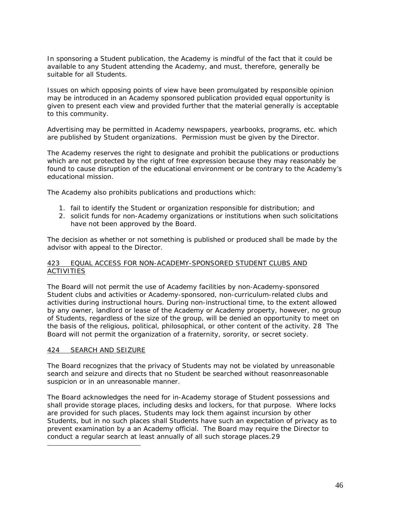In sponsoring a Student publication, the Academy is mindful of the fact that it could be available to any Student attending the Academy, and must, therefore, generally be suitable for all Students.

Issues on which opposing points of view have been promulgated by responsible opinion may be introduced in an Academy sponsored publication provided equal opportunity is given to present each view and provided further that the material generally is acceptable to this community.

Advertising may be permitted in Academy newspapers, yearbooks, programs, etc. which are published by Student organizations. Permission must be given by the Director.

The Academy reserves the right to designate and prohibit the publications or productions which are not protected by the right of free expression because they may reasonably be found to cause disruption of the educational environment or be contrary to the Academy's educational mission.

The Academy also prohibits publications and productions which:

- 1. fail to identify the Student or organization responsible for distribution; and
- 2. solicit funds for non-Academy organizations or institutions when such solicitations have not been approved by the Board.

The decision as whether or not something is published or produced shall be made by the advisor with appeal to the Director.

#### 423 EQUAL ACCESS FOR NON-ACADEMY-SPONSORED STUDENT CLUBS AND ACTIVITIES

The Board will not permit the use of Academy facilities by non-Academy-sponsored Student clubs and activities or Academy-sponsored, non-curriculum-related clubs and activities during instructional hours. During non-instructional time, to the extent allowed by any owner, landlord or lease of the Academy or Academy property, however, no group of Students, regardless of the size of the group, will be denied an opportunity to meet on the basis of the religious, political, philosophical, or other content of the activity[.](#page-45-0) 28 The Board will not permit the organization of a fraternity, sorority, or secret society.

#### 424 SEARCH AND SEIZURE

<span id="page-45-1"></span><span id="page-45-0"></span>-

The Board recognizes that the privacy of Students may not be violated by unreasonable search and seizure and directs that no Student be searched without reasonreasonable suspicion or in an unreasonable manner.

The Board acknowledges the need for in-Academy storage of Student possessions and shall provide storage places, including desks and lockers, for that purpose. Where locks are provided for such places, Students may lock them against incursion by other Students, but in no such places shall Students have such an expectation of privacy as to prevent examination by a an Academy official. The Board may require the Director to conduct a regular search at least annually of all such storage places.2[9](#page-45-1)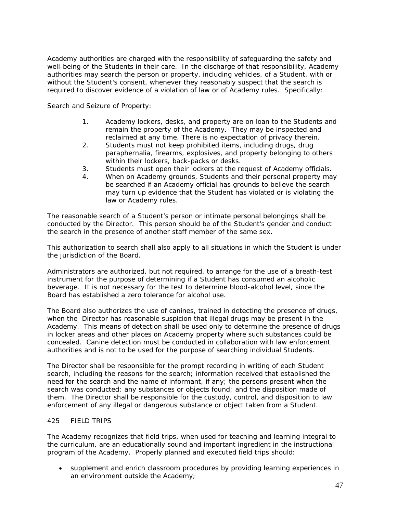Academy authorities are charged with the responsibility of safeguarding the safety and well-being of the Students in their care. In the discharge of that responsibility, Academy authorities may search the person or property, including vehicles, of a Student, with or without the Student's consent, whenever they reasonably suspect that the search is required to discover evidence of a violation of law or of Academy rules. Specifically:

Search and Seizure of Property:

- 1. Academy lockers, desks, and property are on loan to the Students and remain the property of the Academy. They may be inspected and reclaimed at any time. There is no expectation of privacy therein.
- 2. Students must not keep prohibited items, including drugs, drug paraphernalia, firearms, explosives, and property belonging to others within their lockers, back-packs or desks.
- 3. Students must open their lockers at the request of Academy officials.
- 4. When on Academy grounds, Students and their personal property may be searched if an Academy official has grounds to believe the search may turn up evidence that the Student has violated or is violating the law or Academy rules.

The reasonable search of a Student's person or intimate personal belongings shall be conducted by the Director. This person should be of the Student's gender and conduct the search in the presence of another staff member of the same sex.

This authorization to search shall also apply to all situations in which the Student is under the jurisdiction of the Board.

Administrators are authorized, but not required, to arrange for the use of a breath-test instrument for the purpose of determining if a Student has consumed an alcoholic beverage. It is not necessary for the test to determine blood-alcohol level, since the Board has established a zero tolerance for alcohol use.

The Board also authorizes the use of canines, trained in detecting the presence of drugs, when the Director has reasonable suspicion that illegal drugs may be present in the Academy. This means of detection shall be used only to determine the presence of drugs in locker areas and other places on Academy property where such substances could be concealed. Canine detection must be conducted in collaboration with law enforcement authorities and is not to be used for the purpose of searching individual Students.

The Director shall be responsible for the prompt recording in writing of each Student search, including the reasons for the search; information received that established the need for the search and the name of informant, if any; the persons present when the search was conducted; any substances or objects found; and the disposition made of them. The Director shall be responsible for the custody, control, and disposition to law enforcement of any illegal or dangerous substance or object taken from a Student.

### 425 FIELD TRIPS

The Academy recognizes that field trips, when used for teaching and learning integral to the curriculum, are an educationally sound and important ingredient in the instructional program of the Academy. Properly planned and executed field trips should:

• supplement and enrich classroom procedures by providing learning experiences in an environment outside the Academy;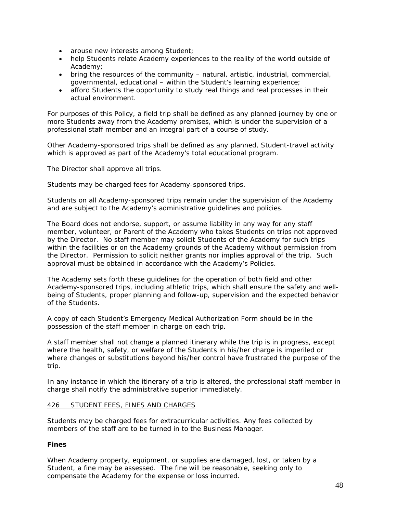- arouse new interests among Student;
- help Students relate Academy experiences to the reality of the world outside of Academy;
- bring the resources of the community natural, artistic, industrial, commercial, governmental, educational – within the Student's learning experience;
- afford Students the opportunity to study real things and real processes in their actual environment.

For purposes of this Policy, a field trip shall be defined as any planned journey by one or more Students away from the Academy premises, which is under the supervision of a professional staff member and an integral part of a course of study.

Other Academy-sponsored trips shall be defined as any planned, Student-travel activity which is approved as part of the Academy's total educational program.

The Director shall approve all trips.

Students may be charged fees for Academy-sponsored trips.

Students on all Academy-sponsored trips remain under the supervision of the Academy and are subject to the Academy's administrative guidelines and policies.

The Board does not endorse, support, or assume liability in any way for any staff member, volunteer, or Parent of the Academy who takes Students on trips not approved by the Director. No staff member may solicit Students of the Academy for such trips within the facilities or on the Academy grounds of the Academy without permission from the Director. Permission to solicit neither grants nor implies approval of the trip. Such approval must be obtained in accordance with the Academy's Policies.

The Academy sets forth these guidelines for the operation of both field and other Academy-sponsored trips, including athletic trips, which shall ensure the safety and wellbeing of Students, proper planning and follow-up, supervision and the expected behavior of the Students.

A copy of each Student's Emergency Medical Authorization Form should be in the possession of the staff member in charge on each trip.

A staff member shall not change a planned itinerary while the trip is in progress, except where the health, safety, or welfare of the Students in his/her charge is imperiled or where changes or substitutions beyond his/her control have frustrated the purpose of the trip.

In any instance in which the itinerary of a trip is altered, the professional staff member in charge shall notify the administrative superior immediately.

### 426 STUDENT FEES, FINES AND CHARGES

Students may be charged fees for extracurricular activities. Any fees collected by members of the staff are to be turned in to the Business Manager.

### **Fines**

When Academy property, equipment, or supplies are damaged, lost, or taken by a Student, a fine may be assessed. The fine will be reasonable, seeking only to compensate the Academy for the expense or loss incurred.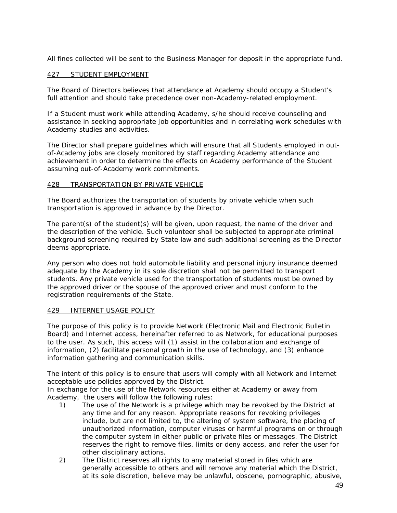All fines collected will be sent to the Business Manager for deposit in the appropriate fund.

### 427 STUDENT EMPLOYMENT

The Board of Directors believes that attendance at Academy should occupy a Student's full attention and should take precedence over non-Academy-related employment.

If a Student must work while attending Academy, s/he should receive counseling and assistance in seeking appropriate job opportunities and in correlating work schedules with Academy studies and activities.

The Director shall prepare guidelines which will ensure that all Students employed in outof-Academy jobs are closely monitored by staff regarding Academy attendance and achievement in order to determine the effects on Academy performance of the Student assuming out-of-Academy work commitments.

#### 428 TRANSPORTATION BY PRIVATE VEHICLE

The Board authorizes the transportation of students by private vehicle when such transportation is approved in advance by the Director.

The parent(s) of the student(s) will be given, upon request, the name of the driver and the description of the vehicle. Such volunteer shall be subjected to appropriate criminal background screening required by State law and such additional screening as the Director deems appropriate.

Any person who does not hold automobile liability and personal injury insurance deemed adequate by the Academy in its sole discretion shall not be permitted to transport students. Any private vehicle used for the transportation of students must be owned by the approved driver or the spouse of the approved driver and must conform to the registration requirements of the State.

#### 429 INTERNET USAGE POLICY

The purpose of this policy is to provide Network (Electronic Mail and Electronic Bulletin Board) and Internet access, hereinafter referred to as Network, for educational purposes to the user. As such, this access will (1) assist in the collaboration and exchange of information, (2) facilitate personal growth in the use of technology, and (3) enhance information gathering and communication skills.

The intent of this policy is to ensure that users will comply with all Network and Internet acceptable use policies approved by the District.

In exchange for the use of the Network resources either at Academy or away from Academy, the users will follow the following rules:

- 1) The use of the Network is a privilege which may be revoked by the District at any time and for any reason. Appropriate reasons for revoking privileges include, but are not limited to, the altering of system software, the placing of unauthorized information, computer viruses or harmful programs on or through the computer system in either public or private files or messages. The District reserves the right to remove files, limits or deny access, and refer the user for other disciplinary actions.
- 2) The District reserves all rights to any material stored in files which are generally accessible to others and will remove any material which the District, at its sole discretion, believe may be unlawful, obscene, pornographic, abusive,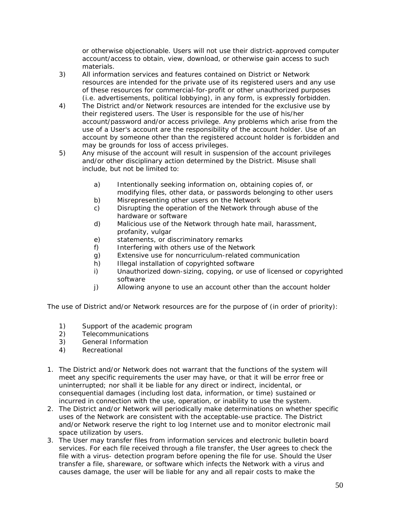or otherwise objectionable. Users will not use their district-approved computer account/access to obtain, view, download, or otherwise gain access to such materials.

- 3) All information services and features contained on District or Network resources are intended for the private use of its registered users and any use of these resources for commercial-for-profit or other unauthorized purposes (i.e. advertisements, political lobbying), in any form, is expressly forbidden.
- 4) The District and/or Network resources are intended for the exclusive use by their registered users. The User is responsible for the use of his/her account/password and/or access privilege. Any problems which arise from the use of a User's account are the responsibility of the account holder. Use of an account by someone other than the registered account holder is forbidden and may be grounds for loss of access privileges.
- 5) Any misuse of the account will result in suspension of the account privileges and/or other disciplinary action determined by the District. Misuse shall include, but not be limited to:
	- a) Intentionally seeking information on, obtaining copies of, or modifying files, other data, or passwords belonging to other users
	- b) Misrepresenting other users on the Network
	- c) Disrupting the operation of the Network through abuse of the hardware or software
	- d) Malicious use of the Network through hate mail, harassment, profanity, vulgar
	- e) statements, or discriminatory remarks
	- f) Interfering with others use of the Network
	- g) Extensive use for noncurriculum-related communication
	- h) Illegal installation of copyrighted software
	- i) Unauthorized down-sizing, copying, or use of licensed or copyrighted software
	- j) Allowing anyone to use an account other than the account holder

The use of District and/or Network resources are for the purpose of (in order of priority):

- 1) Support of the academic program
- 2) Telecommunications
- 3) General Information
- 4) Recreational
- 1. The District and/or Network does not warrant that the functions of the system will meet any specific requirements the user may have, or that it will be error free or uninterrupted; nor shall it be liable for any direct or indirect, incidental, or consequential damages (including lost data, information, or time) sustained or incurred in connection with the use, operation, or inability to use the system.
- 2. The District and/or Network will periodically make determinations on whether specific uses of the Network are consistent with the acceptable-use practice. The District and/or Network reserve the right to log Internet use and to monitor electronic mail space utilization by users.
- 3. The User may transfer files from information services and electronic bulletin board services. For each file received through a file transfer, the User agrees to check the file with a virus- detection program before opening the file for use. Should the User transfer a file, shareware, or software which infects the Network with a virus and causes damage, the user will be liable for any and all repair costs to make the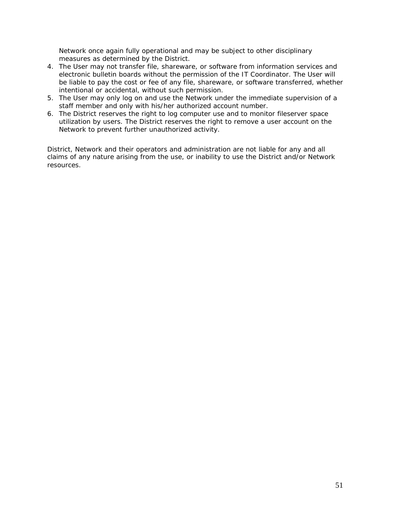Network once again fully operational and may be subject to other disciplinary measures as determined by the District.

- 4. The User may not transfer file, shareware, or software from information services and electronic bulletin boards without the permission of the IT Coordinator. The User will be liable to pay the cost or fee of any file, shareware, or software transferred, whether intentional or accidental, without such permission.
- 5. The User may only log on and use the Network under the immediate supervision of a staff member and only with his/her authorized account number.
- 6. The District reserves the right to log computer use and to monitor fileserver space utilization by users. The District reserves the right to remove a user account on the Network to prevent further unauthorized activity.

District, Network and their operators and administration are not liable for any and all claims of any nature arising from the use, or inability to use the District and/or Network resources.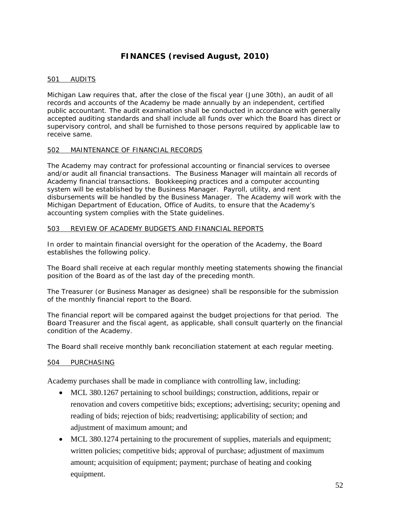# **FINANCES (revised August, 2010)**

### 501 AUDITS

Michigan Law requires that, after the close of the fiscal year (June 30th), an audit of all records and accounts of the Academy be made annually by an independent, certified public accountant. The audit examination shall be conducted in accordance with generally accepted auditing standards and shall include all funds over which the Board has direct or supervisory control, and shall be furnished to those persons required by applicable law to receive same.

### 502 MAINTENANCE OF FINANCIAL RECORDS

The Academy may contract for professional accounting or financial services to oversee and/or audit all financial transactions. The Business Manager will maintain all records of Academy financial transactions. Bookkeeping practices and a computer accounting system will be established by the Business Manager. Payroll, utility, and rent disbursements will be handled by the Business Manager. The Academy will work with the Michigan Department of Education, Office of Audits, to ensure that the Academy's accounting system complies with the State guidelines.

### 503 REVIEW OF ACADEMY BUDGETS AND FINANCIAL REPORTS

In order to maintain financial oversight for the operation of the Academy, the Board establishes the following policy.

The Board shall receive at each regular monthly meeting statements showing the financial position of the Board as of the last day of the preceding month.

The Treasurer (or Business Manager as designee) shall be responsible for the submission of the monthly financial report to the Board.

The financial report will be compared against the budget projections for that period. The Board Treasurer and the fiscal agent, as applicable, shall consult quarterly on the financial condition of the Academy.

The Board shall receive monthly bank reconciliation statement at each regular meeting.

# 504 PURCHASING

Academy purchases shall be made in compliance with controlling law, including:

- MCL 380.1267 pertaining to school buildings; construction, additions, repair or renovation and covers competitive bids; exceptions; advertising; security; opening and reading of bids; rejection of bids; readvertising; applicability of section; and adjustment of maximum amount; and
- MCL 380.1274 pertaining to the procurement of supplies, materials and equipment; written policies; competitive bids; approval of purchase; adjustment of maximum amount; acquisition of equipment; payment; purchase of heating and cooking equipment.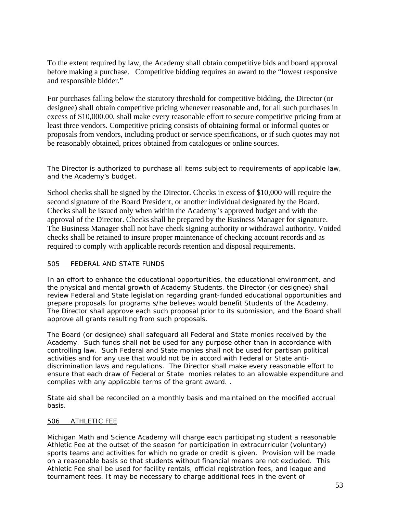To the extent required by law, the Academy shall obtain competitive bids and board approval before making a purchase. Competitive bidding requires an award to the "lowest responsive and responsible bidder."

For purchases falling below the statutory threshold for competitive bidding, the Director (or designee) shall obtain competitive pricing whenever reasonable and, for all such purchases in excess of \$10,000.00, shall make every reasonable effort to secure competitive pricing from at least three vendors. Competitive pricing consists of obtaining formal or informal quotes or proposals from vendors, including product or service specifications, or if such quotes may not be reasonably obtained, prices obtained from catalogues or online sources.

The Director is authorized to purchase all items subject to requirements of applicable law, and the Academy's budget.

School checks shall be signed by the Director. Checks in excess of \$10,000 will require the second signature of the Board President, or another individual designated by the Board. Checks shall be issued only when within the Academy's approved budget and with the approval of the Director. Checks shall be prepared by the Business Manager for signature. The Business Manager shall not have check signing authority or withdrawal authority. Voided checks shall be retained to insure proper maintenance of checking account records and as required to comply with applicable records retention and disposal requirements.

### 505 FEDERAL AND STATE FUNDS

In an effort to enhance the educational opportunities, the educational environment, and the physical and mental growth of Academy Students, the Director (or designee) shall review Federal and State legislation regarding grant-funded educational opportunities and prepare proposals for programs s/he believes would benefit Students of the Academy. The Director shall approve each such proposal prior to its submission, and the Board shall approve all grants resulting from such proposals.

The Board (or designee) shall safeguard all Federal and State monies received by the Academy. Such funds shall not be used for any purpose other than in accordance with controlling law. Such Federal and State monies shall not be used for partisan political activities and for any use that would not be in accord with Federal or State antidiscrimination laws and regulations. The Director shall make every reasonable effort to ensure that each draw of Federal or State monies relates to an allowable expenditure and complies with any applicable terms of the grant award. .

State aid shall be reconciled on a monthly basis and maintained on the modified accrual basis.

### 506 ATHLETIC FEE

Michigan Math and Science Academy will charge each participating student a reasonable Athletic Fee at the outset of the season for participation in extracurricular (voluntary) sports teams and activities for which no grade or credit is given. Provision will be made on a reasonable basis so that students without financial means are not excluded. This Athletic Fee shall be used for facility rentals, official registration fees, and league and tournament fees. It may be necessary to charge additional fees in the event of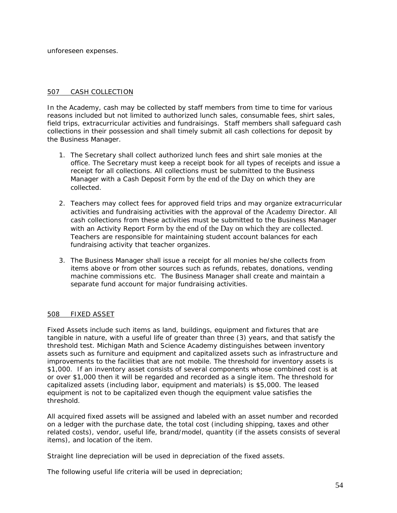unforeseen expenses.

### 507 CASH COLLECTION

In the Academy, cash may be collected by staff members from time to time for various reasons included but not limited to authorized lunch sales, consumable fees, shirt sales, field trips, extracurricular activities and fundraisings. Staff members shall safeguard cash collections in their possession and shall timely submit all cash collections for deposit by the Business Manager.

- 1. The Secretary shall collect authorized lunch fees and shirt sale monies at the office. The Secretary must keep a receipt book for all types of receipts and issue a receipt for all collections. All collections must be submitted to the Business Manager with a Cash Deposit Form by the end of the Day on which they are collected.
- 2. Teachers may collect fees for approved field trips and may organize extracurricular activities and fundraising activities with the approval of the Academy Director. All cash collections from these activities must be submitted to the Business Manager with an Activity Report Form by the end of the Day on which they are collected. Teachers are responsible for maintaining student account balances for each fundraising activity that teacher organizes.
- 3. The Business Manager shall issue a receipt for all monies he/she collects from items above or from other sources such as refunds, rebates, donations, vending machine commissions etc. The Business Manager shall create and maintain a separate fund account for major fundraising activities.

### 508 FIXED ASSET

Fixed Assets include such items as land, buildings, equipment and fixtures that are tangible in nature, with a useful life of greater than three (3) years, and that satisfy the threshold test. Michigan Math and Science Academy distinguishes between inventory assets such as furniture and equipment and capitalized assets such as infrastructure and improvements to the facilities that are not mobile. The threshold for inventory assets is \$1,000. If an inventory asset consists of several components whose combined cost is at or over \$1,000 then it will be regarded and recorded as a single item. The threshold for capitalized assets (including labor, equipment and materials) is \$5,000. The leased equipment is not to be capitalized even though the equipment value satisfies the threshold.

All acquired fixed assets will be assigned and labeled with an asset number and recorded on a ledger with the purchase date, the total cost (including shipping, taxes and other related costs), vendor, useful life, brand/model, quantity (if the assets consists of several items), and location of the item.

Straight line depreciation will be used in depreciation of the fixed assets.

The following useful life criteria will be used in depreciation;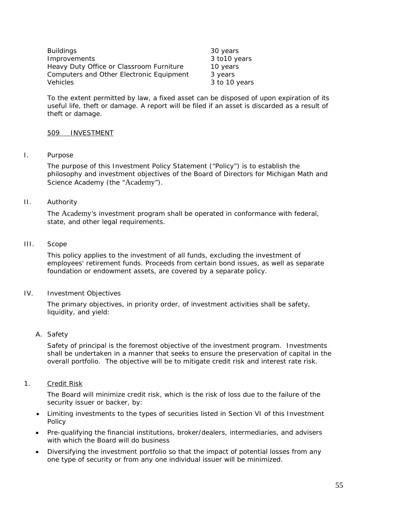| <b>Buildings</b>                         | 30 years      |
|------------------------------------------|---------------|
| Improvements                             | 3 to 10 years |
| Heavy Duty Office or Classroom Furniture | 10 years      |
| Computers and Other Electronic Equipment | 3 years       |
| <b>Vehicles</b>                          | 3 to 10 years |

To the extent permitted by law, a fixed asset can be disposed of upon expiration of its useful life, theft or damage. A report will be filed if an asset is discarded as a result of theft or damage.

### 509 INVESTMENT

I. Purpose

The purpose of this Investment Policy Statement ("Policy") is to establish the philosophy and investment objectives of the Board of Directors for Michigan Math and Science Academy (the "Academy").

II. Authority

The Academy's investment program shall be operated in conformance with federal, state, and other legal requirements.

III. Scope

This policy applies to the investment of all funds, excluding the investment of employees' retirement funds. Proceeds from certain bond issues, as well as separate foundation or endowment assets, are covered by a separate policy.

IV. Investment Objectives

The primary objectives, in priority order, of investment activities shall be safety, liquidity, and yield:

*A. Safety*

Safety of principal is the foremost objective of the investment program. Investments shall be undertaken in a manner that seeks to ensure the preservation of capital in the overall portfolio. The objective will be to mitigate credit risk and interest rate risk.

1. Credit Risk

The Board will minimize credit risk, which is the risk of loss due to the failure of the security issuer or backer, by:

- Limiting investments to the types of securities listed in Section VI of this Investment Policy
- Pre-qualifying the financial institutions, broker/dealers, intermediaries, and advisers with which the Board will do business
- Diversifying the investment portfolio so that the impact of potential losses from any one type of security or from any one individual issuer will be minimized.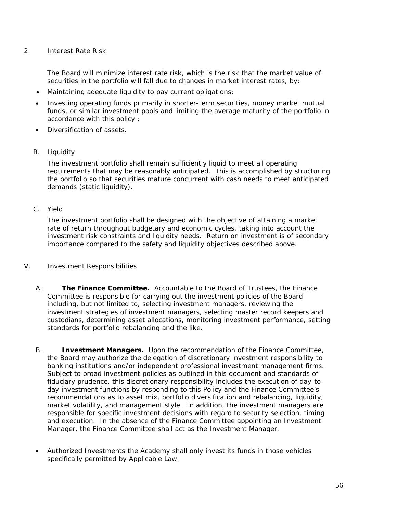### 2. Interest Rate Risk

The Board will minimize interest rate risk, which is the risk that the market value of securities in the portfolio will fall due to changes in market interest rates, by:

- Maintaining adequate liquidity to pay current obligations;
- Investing operating funds primarily in shorter-term securities, money market mutual funds, or similar investment pools and limiting the average maturity of the portfolio in accordance with this policy ;
- Diversification of assets.
- B. *Liquidity*

The investment portfolio shall remain sufficiently liquid to meet all operating requirements that may be reasonably anticipated. This is accomplished by structuring the portfolio so that securities mature concurrent with cash needs to meet anticipated demands (static liquidity).

C. *Yield*

The investment portfolio shall be designed with the objective of attaining a market rate of return throughout budgetary and economic cycles, taking into account the investment risk constraints and liquidity needs. Return on investment is of secondary importance compared to the safety and liquidity objectives described above.

- V. Investment Responsibilities
	- A. **The Finance Committee.** Accountable to the Board of Trustees, the Finance Committee is responsible for carrying out the investment policies of the Board including, but not limited to, selecting investment managers, reviewing the investment strategies of investment managers, selecting master record keepers and custodians, determining asset allocations, monitoring investment performance, setting standards for portfolio rebalancing and the like.
	- B. **Investment Managers.** Upon the recommendation of the Finance Committee, the Board may authorize the delegation of discretionary investment responsibility to banking institutions and/or independent professional investment management firms. Subject to broad investment policies as outlined in this document and standards of fiduciary prudence, this discretionary responsibility includes the execution of day-today investment functions by responding to this Policy and the Finance Committee's recommendations as to asset mix, portfolio diversification and rebalancing, liquidity, market volatility, and management style. In addition, the investment managers are responsible for specific investment decisions with regard to security selection, timing and execution. In the absence of the Finance Committee appointing an Investment Manager, the Finance Committee shall act as the Investment Manager.
	- Authorized Investments the Academy shall only invest its funds in those vehicles specifically permitted by Applicable Law.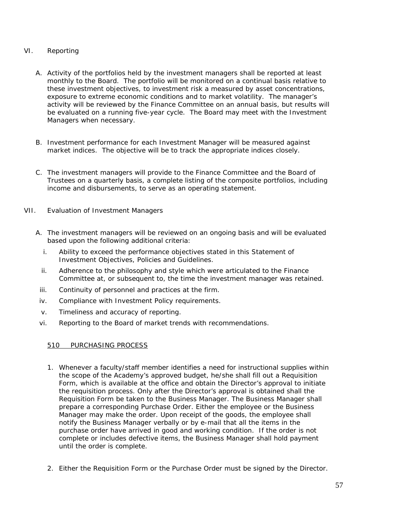### VI. Reporting

- A. Activity of the portfolios held by the investment managers shall be reported at least monthly to the Board. The portfolio will be monitored on a continual basis relative to these investment objectives, to investment risk a measured by asset concentrations, exposure to extreme economic conditions and to market volatility. The manager's activity will be reviewed by the Finance Committee on an annual basis, but results will be evaluated on a running five-year cycle. The Board may meet with the Investment Managers when necessary.
- B. Investment performance for each Investment Manager will be measured against market indices. The objective will be to track the appropriate indices closely.
- C. The investment managers will provide to the Finance Committee and the Board of Trustees on a quarterly basis, a complete listing of the composite portfolios, including income and disbursements, to serve as an operating statement.
- VII. Evaluation of Investment Managers
	- A. The investment managers will be reviewed on an ongoing basis and will be evaluated based upon the following additional criteria:
		- i. Ability to exceed the performance objectives stated in this Statement of Investment Objectives, Policies and Guidelines.
		- ii. Adherence to the philosophy and style which were articulated to the Finance Committee at, or subsequent to, the time the investment manager was retained.
	- iii. Continuity of personnel and practices at the firm.
	- iv. Compliance with Investment Policy requirements.
	- v. Timeliness and accuracy of reporting.
	- vi. Reporting to the Board of market trends with recommendations.

### 510 PURCHASING PROCESS

- 1. Whenever a faculty/staff member identifies a need for instructional supplies within the scope of the Academy's approved budget, he/she shall fill out a Requisition Form, which is available at the office and obtain the Director's approval to initiate the requisition process. Only after the Director's approval is obtained shall the Requisition Form be taken to the Business Manager. The Business Manager shall prepare a corresponding Purchase Order. Either the employee or the Business Manager may make the order. Upon receipt of the goods, the employee shall notify the Business Manager verbally or by e-mail that all the items in the purchase order have arrived in good and working condition. If the order is not complete or includes defective items, the Business Manager shall hold payment until the order is complete.
- 2. Either the Requisition Form or the Purchase Order must be signed by the Director.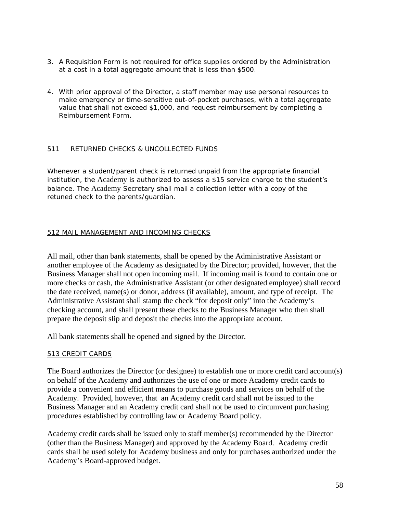- 3. A Requisition Form is not required for office supplies ordered by the Administration at a cost in a total aggregate amount that is less than \$500.
- 4. With prior approval of the Director, a staff member may use personal resources to make emergency or time-sensitive out-of-pocket purchases, with a total aggregate value that shall not exceed \$1,000, and request reimbursement by completing a Reimbursement Form.

### 511 RETURNED CHECKS & UNCOLLECTED FUNDS

Whenever a student/parent check is returned unpaid from the appropriate financial institution, the Academy is authorized to assess a \$15 service charge to the student's balance. The Academy Secretary shall mail a collection letter with a copy of the retuned check to the parents/guardian.

### 512 MAIL MANAGEMENT AND INCOMING CHECKS

All mail, other than bank statements, shall be opened by the Administrative Assistant or another employee of the Academy as designated by the Director; provided, however, that the Business Manager shall not open incoming mail. If incoming mail is found to contain one or more checks or cash, the Administrative Assistant (or other designated employee) shall record the date received, name(s) or donor, address (if available), amount, and type of receipt. The Administrative Assistant shall stamp the check "for deposit only" into the Academy's checking account, and shall present these checks to the Business Manager who then shall prepare the deposit slip and deposit the checks into the appropriate account.

All bank statements shall be opened and signed by the Director.

### 513 CREDIT CARDS

The Board authorizes the Director (or designee) to establish one or more credit card account(s) on behalf of the Academy and authorizes the use of one or more Academy credit cards to provide a convenient and efficient means to purchase goods and services on behalf of the Academy. Provided, however, that an Academy credit card shall not be issued to the Business Manager and an Academy credit card shall not be used to circumvent purchasing procedures established by controlling law or Academy Board policy.

Academy credit cards shall be issued only to staff member(s) recommended by the Director (other than the Business Manager) and approved by the Academy Board. Academy credit cards shall be used solely for Academy business and only for purchases authorized under the Academy's Board-approved budget.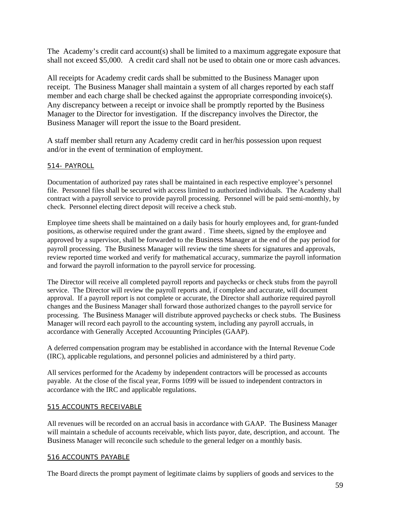The Academy's credit card account(s) shall be limited to a maximum aggregate exposure that shall not exceed \$5,000. A credit card shall not be used to obtain one or more cash advances.

All receipts for Academy credit cards shall be submitted to the Business Manager upon receipt. The Business Manager shall maintain a system of all charges reported by each staff member and each charge shall be checked against the appropriate corresponding invoice(s). Any discrepancy between a receipt or invoice shall be promptly reported by the Business Manager to the Director for investigation. If the discrepancy involves the Director, the Business Manager will report the issue to the Board president.

A staff member shall return any Academy credit card in her/his possession upon request and/or in the event of termination of employment.

# 514- PAYROLL

Documentation of authorized pay rates shall be maintained in each respective employee's personnel file. Personnel files shall be secured with access limited to authorized individuals. The Academy shall contract with a payroll service to provide payroll processing. Personnel will be paid semi-monthly, by check. Personnel electing direct deposit will receive a check stub.

Employee time sheets shall be maintained on a daily basis for hourly employees and, for grant-funded positions, as otherwise required under the grant award . Time sheets, signed by the employee and approved by a supervisor, shall be forwarded to the Business Manager at the end of the pay period for payroll processing. The Business Manager will review the time sheets for signatures and approvals, review reported time worked and verify for mathematical accuracy, summarize the payroll information and forward the payroll information to the payroll service for processing.

The Director will receive all completed payroll reports and paychecks or check stubs from the payroll service. The Director will review the payroll reports and, if complete and accurate, will document approval. If a payroll report is not complete or accurate, the Director shall authorize required payroll changes and the Business Manager shall forward those authorized changes to the payroll service for processing. The Business Manager will distribute approved paychecks or check stubs. The Business Manager will record each payroll to the accounting system, including any payroll accruals, in accordance with Generally Accepted Accouunting Principles (GAAP).

A deferred compensation program may be established in accordance with the Internal Revenue Code (IRC), applicable regulations, and personnel policies and administered by a third party.

All services performed for the Academy by independent contractors will be processed as accounts payable. At the close of the fiscal year, Forms 1099 will be issued to independent contractors in accordance with the IRC and applicable regulations.

### 515 ACCOUNTS RECEIVABLE

All revenues will be recorded on an accrual basis in accordance with GAAP. The Business Manager will maintain a schedule of accounts receivable, which lists payor, date, description, and account. The Business Manager will reconcile such schedule to the general ledger on a monthly basis.

### 516 ACCOUNTS PAYABLE

The Board directs the prompt payment of legitimate claims by suppliers of goods and services to the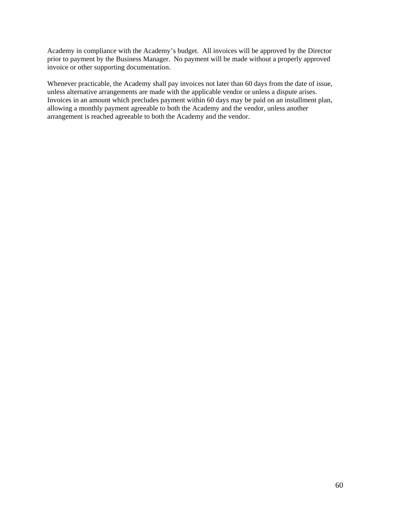Academy in compliance with the Academy's budget. All invoices will be approved by the Director prior to payment by the Business Manager. No payment will be made without a properly approved invoice or other supporting documentation.

Whenever practicable, the Academy shall pay invoices not later than 60 days from the date of issue, unless alternative arrangements are made with the applicable vendor or unless a dispute arises. Invoices in an amount which precludes payment within 60 days may be paid on an installment plan, allowing a monthly payment agreeable to both the Academy and the vendor, unless another arrangement is reached agreeable to both the Academy and the vendor.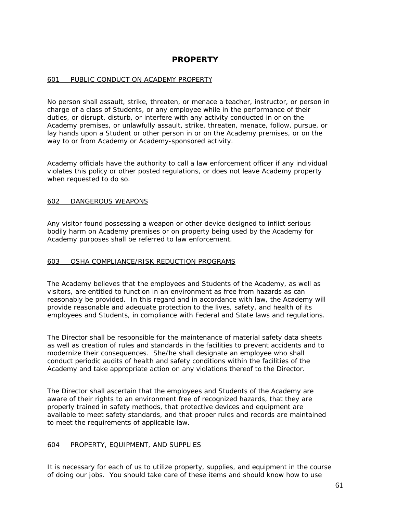# **PROPERTY**

### 601 PUBLIC CONDUCT ON ACADEMY PROPERTY

No person shall assault, strike, threaten, or menace a teacher, instructor, or person in charge of a class of Students, or any employee while in the performance of their duties, or disrupt, disturb, or interfere with any activity conducted in or on the Academy premises, or unlawfully assault, strike, threaten, menace, follow, pursue, or lay hands upon a Student or other person in or on the Academy premises, or on the way to or from Academy or Academy-sponsored activity.

Academy officials have the authority to call a law enforcement officer if any individual violates this policy or other posted regulations, or does not leave Academy property when requested to do so.

#### 602 DANGEROUS WEAPONS

Any visitor found possessing a weapon or other device designed to inflict serious bodily harm on Academy premises or on property being used by the Academy for Academy purposes shall be referred to law enforcement.

### 603 OSHA COMPLIANCE/RISK REDUCTION PROGRAMS

The Academy believes that the employees and Students of the Academy, as well as visitors, are entitled to function in an environment as free from hazards as can reasonably be provided. In this regard and in accordance with law, the Academy will provide reasonable and adequate protection to the lives, safety, and health of its employees and Students, in compliance with Federal and State laws and regulations.

The Director shall be responsible for the maintenance of material safety data sheets as well as creation of rules and standards in the facilities to prevent accidents and to modernize their consequences. She/he shall designate an employee who shall conduct periodic audits of health and safety conditions within the facilities of the Academy and take appropriate action on any violations thereof to the Director.

The Director shall ascertain that the employees and Students of the Academy are aware of their rights to an environment free of recognized hazards, that they are properly trained in safety methods, that protective devices and equipment are available to meet safety standards, and that proper rules and records are maintained to meet the requirements of applicable law.

### 604 PROPERTY, EQUIPMENT, AND SUPPLIES

It is necessary for each of us to utilize property, supplies, and equipment in the course of doing our jobs. You should take care of these items and should know how to use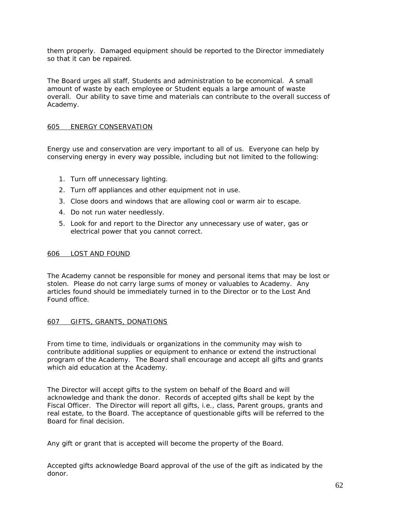them properly. Damaged equipment should be reported to the Director immediately so that it can be repaired.

The Board urges all staff, Students and administration to be economical. A small amount of waste by each employee or Student equals a large amount of waste overall. Our ability to save time and materials can contribute to the overall success of Academy.

### 605 ENERGY CONSERVATION

Energy use and conservation are very important to all of us. Everyone can help by conserving energy in every way possible, including but not limited to the following:

- 1. Turn off unnecessary lighting.
- 2. Turn off appliances and other equipment not in use.
- 3. Close doors and windows that are allowing cool or warm air to escape.
- 4. Do not run water needlessly.
- 5. Look for and report to the Director any unnecessary use of water, gas or electrical power that you cannot correct.

#### 606 LOST AND FOUND

The Academy cannot be responsible for money and personal items that may be lost or stolen. Please do not carry large sums of money or valuables to Academy. Any articles found should be immediately turned in to the Director or to the Lost And Found office.

### 607 GIFTS, GRANTS, DONATIONS

From time to time, individuals or organizations in the community may wish to contribute additional supplies or equipment to enhance or extend the instructional program of the Academy. The Board shall encourage and accept all gifts and grants which aid education at the Academy.

The Director will accept gifts to the system on behalf of the Board and will acknowledge and thank the donor. Records of accepted gifts shall be kept by the Fiscal Officer. The Director will report all gifts, i.e., class, Parent groups, grants and real estate, to the Board. The acceptance of questionable gifts will be referred to the Board for final decision.

Any gift or grant that is accepted will become the property of the Board.

Accepted gifts acknowledge Board approval of the use of the gift as indicated by the donor.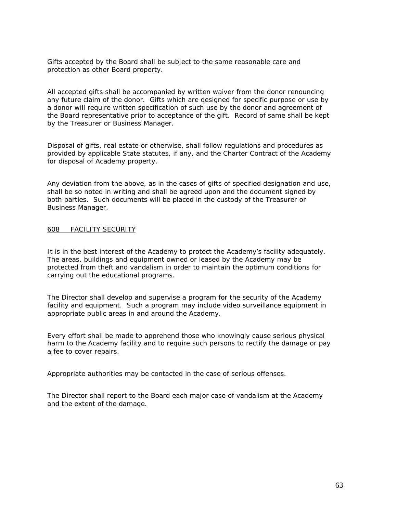Gifts accepted by the Board shall be subject to the same reasonable care and protection as other Board property.

All accepted gifts shall be accompanied by written waiver from the donor renouncing any future claim of the donor. Gifts which are designed for specific purpose or use by a donor will require written specification of such use by the donor and agreement of the Board representative prior to acceptance of the gift. Record of same shall be kept by the Treasurer or Business Manager.

Disposal of gifts, real estate or otherwise, shall follow regulations and procedures as provided by applicable State statutes, if any, and the Charter Contract of the Academy for disposal of Academy property.

Any deviation from the above, as in the cases of gifts of specified designation and use, shall be so noted in writing and shall be agreed upon and the document signed by both parties. Such documents will be placed in the custody of the Treasurer or Business Manager.

#### 608 FACILITY SECURITY

It is in the best interest of the Academy to protect the Academy's facility adequately. The areas, buildings and equipment owned or leased by the Academy may be protected from theft and vandalism in order to maintain the optimum conditions for carrying out the educational programs.

The Director shall develop and supervise a program for the security of the Academy facility and equipment. Such a program may include video surveillance equipment in appropriate public areas in and around the Academy.

Every effort shall be made to apprehend those who knowingly cause serious physical harm to the Academy facility and to require such persons to rectify the damage or pay a fee to cover repairs.

Appropriate authorities may be contacted in the case of serious offenses.

The Director shall report to the Board each major case of vandalism at the Academy and the extent of the damage.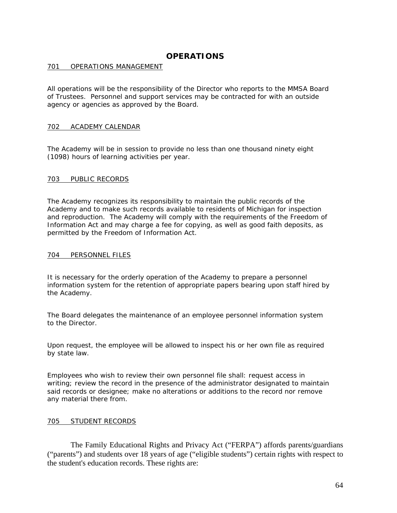# **OPERATIONS**

### 701 OPERATIONS MANAGEMENT

All operations will be the responsibility of the Director who reports to the MMSA Board of Trustees. Personnel and support services may be contracted for with an outside agency or agencies as approved by the Board.

### 702 ACADEMY CALENDAR

The Academy will be in session to provide no less than one thousand ninety eight (1098) hours of learning activities per year.

#### 703 PUBLIC RECORDS

The Academy recognizes its responsibility to maintain the public records of the Academy and to make such records available to residents of Michigan for inspection and reproduction. The Academy will comply with the requirements of the Freedom of Information Act and may charge a fee for copying, as well as good faith deposits, as permitted by the Freedom of Information Act.

#### 704 PERSONNEL FILES

It is necessary for the orderly operation of the Academy to prepare a personnel information system for the retention of appropriate papers bearing upon staff hired by the Academy.

The Board delegates the maintenance of an employee personnel information system to the Director.

Upon request, the employee will be allowed to inspect his or her own file as required by state law.

Employees who wish to review their own personnel file shall: request access in writing; review the record in the presence of the administrator designated to maintain said records or designee; make no alterations or additions to the record nor remove any material there from.

#### 705 STUDENT RECORDS

The Family Educational Rights and Privacy Act ("FERPA") affords parents/guardians ("parents") and students over 18 years of age ("eligible students") certain rights with respect to the student's education records. These rights are: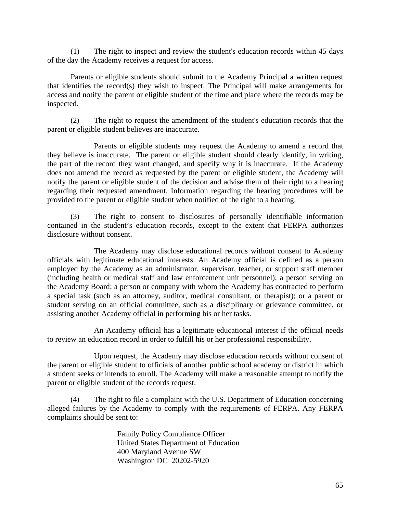(1) The right to inspect and review the student's education records within 45 days of the day the Academy receives a request for access.

Parents or eligible students should submit to the Academy Principal a written request that identifies the record(s) they wish to inspect. The Principal will make arrangements for access and notify the parent or eligible student of the time and place where the records may be inspected.

(2) The right to request the amendment of the student's education records that the parent or eligible student believes are inaccurate.

Parents or eligible students may request the Academy to amend a record that they believe is inaccurate. The parent or eligible student should clearly identify, in writing, the part of the record they want changed, and specify why it is inaccurate. If the Academy does not amend the record as requested by the parent or eligible student, the Academy will notify the parent or eligible student of the decision and advise them of their right to a hearing regarding their requested amendment. Information regarding the hearing procedures will be provided to the parent or eligible student when notified of the right to a hearing.

The right to consent to disclosures of personally identifiable information contained in the student's education records, except to the extent that FERPA authorizes disclosure without consent.

The Academy may disclose educational records without consent to Academy officials with legitimate educational interests. An Academy official is defined as a person employed by the Academy as an administrator, supervisor, teacher, or support staff member (including health or medical staff and law enforcement unit personnel); a person serving on the Academy Board; a person or company with whom the Academy has contracted to perform a special task (such as an attorney, auditor, medical consultant, or therapist); or a parent or student serving on an official committee, such as a disciplinary or grievance committee, or assisting another Academy official in performing his or her tasks.

An Academy official has a legitimate educational interest if the official needs to review an education record in order to fulfill his or her professional responsibility.

Upon request, the Academy may disclose education records without consent of the parent or eligible student to officials of another public school academy or district in which a student seeks or intends to enroll. The Academy will make a reasonable attempt to notify the parent or eligible student of the records request.

(4) The right to file a complaint with the U.S. Department of Education concerning alleged failures by the Academy to comply with the requirements of FERPA. Any FERPA complaints should be sent to:

> Family Policy Compliance Officer United States Department of Education 400 Maryland Avenue SW Washington DC 20202-5920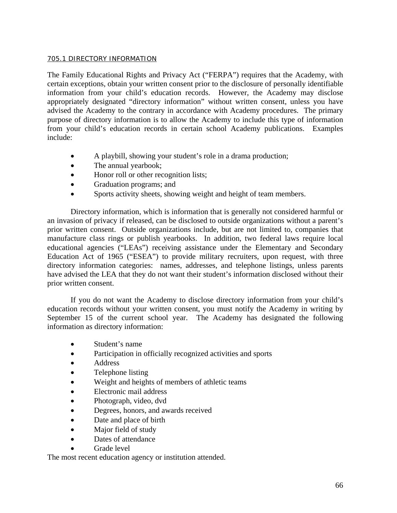### 705.1 DIRECTORY INFORMATION

The Family Educational Rights and Privacy Act ("FERPA") requires that the Academy, with certain exceptions, obtain your written consent prior to the disclosure of personally identifiable information from your child's education records. However, the Academy may disclose appropriately designated "directory information" without written consent, unless you have advised the Academy to the contrary in accordance with Academy procedures. The primary purpose of directory information is to allow the Academy to include this type of information from your child's education records in certain school Academy publications. Examples include:

- A playbill, showing your student's role in a drama production;
- The annual yearbook;
- Honor roll or other recognition lists;
- Graduation programs; and
- Sports activity sheets, showing weight and height of team members.

Directory information, which is information that is generally not considered harmful or an invasion of privacy if released, can be disclosed to outside organizations without a parent's prior written consent. Outside organizations include, but are not limited to, companies that manufacture class rings or publish yearbooks. In addition, two federal laws require local educational agencies ("LEAs") receiving assistance under the Elementary and Secondary Education Act of 1965 ("ESEA") to provide military recruiters, upon request, with three directory information categories: names, addresses, and telephone listings, unless parents have advised the LEA that they do not want their student's information disclosed without their prior written consent.

If you do not want the Academy to disclose directory information from your child's education records without your written consent, you must notify the Academy in writing by September 15 of the current school year. The Academy has designated the following information as directory information:

- Student's name
- Participation in officially recognized activities and sports
- Address
- Telephone listing
- Weight and heights of members of athletic teams
- Electronic mail address
- Photograph, video, dvd
- Degrees, honors, and awards received
- Date and place of birth
- Major field of study
- Dates of attendance
	- Grade level

The most recent education agency or institution attended.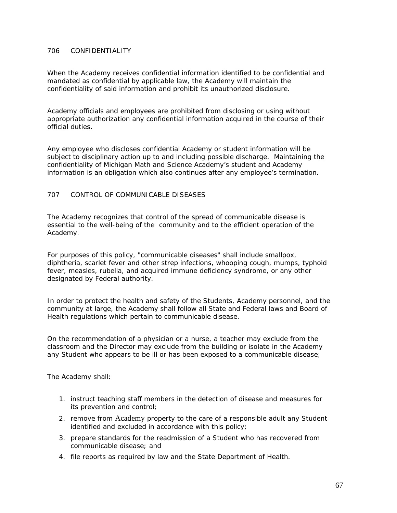### 706 CONFIDENTIALITY

When the Academy receives confidential information identified to be confidential and mandated as confidential by applicable law, the Academy will maintain the confidentiality of said information and prohibit its unauthorized disclosure.

Academy officials and employees are prohibited from disclosing or using without appropriate authorization any confidential information acquired in the course of their official duties.

Any employee who discloses confidential Academy or student information will be subject to disciplinary action up to and including possible discharge. Maintaining the confidentiality of Michigan Math and Science Academy's student and Academy information is an obligation which also continues after any employee's termination.

### 707 CONTROL OF COMMUNICABLE DISEASES

The Academy recognizes that control of the spread of communicable disease is essential to the well-being of the community and to the efficient operation of the Academy.

For purposes of this policy, "communicable diseases" shall include smallpox, diphtheria, scarlet fever and other strep infections, whooping cough, mumps, typhoid fever, measles, rubella, and acquired immune deficiency syndrome, or any other designated by Federal authority.

In order to protect the health and safety of the Students, Academy personnel, and the community at large, the Academy shall follow all State and Federal laws and Board of Health regulations which pertain to communicable disease.

On the recommendation of a physician or a nurse, a teacher may exclude from the classroom and the Director may exclude from the building or isolate in the Academy any Student who appears to be ill or has been exposed to a communicable disease;

The Academy shall:

- 1. instruct teaching staff members in the detection of disease and measures for its prevention and control;
- 2. remove from Academy property to the care of a responsible adult any Student identified and excluded in accordance with this policy;
- 3. prepare standards for the readmission of a Student who has recovered from communicable disease; and
- 4. file reports as required by law and the State Department of Health.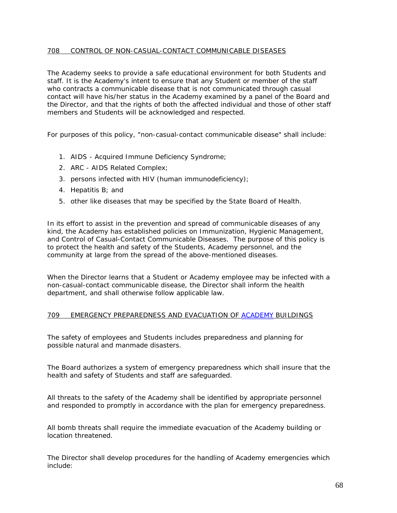### 708 CONTROL OF NON-CASUAL-CONTACT COMMUNICABLE DISEASES

The Academy seeks to provide a safe educational environment for both Students and staff. It is the Academy's intent to ensure that any Student or member of the staff who contracts a communicable disease that is not communicated through casual contact will have his/her status in the Academy examined by a panel of the Board and the Director, and that the rights of both the affected individual and those of other staff members and Students will be acknowledged and respected.

For purposes of this policy, "non-casual-contact communicable disease" shall include:

- 1. AIDS Acquired Immune Deficiency Syndrome;
- 2. ARC AIDS Related Complex;
- 3. persons infected with HIV (human immunodeficiency);
- 4. Hepatitis B; and
- 5. other like diseases that may be specified by the State Board of Health.

In its effort to assist in the prevention and spread of communicable diseases of any kind, the Academy has established policies on Immunization, Hygienic Management, and Control of Casual-Contact Communicable Diseases. The purpose of this policy is to protect the health and safety of the Students, Academy personnel, and the community at large from the spread of the above-mentioned diseases.

When the Director learns that a Student or Academy employee may be infected with a non-casual-contact communicable disease, the Director shall inform the health department, and shall otherwise follow applicable law.

### 709 EMERGENCY PREPAREDNESS AND EVACUATION OF ACADEMY BUILDINGS

The safety of employees and Students includes preparedness and planning for possible natural and manmade disasters.

The Board authorizes a system of emergency preparedness which shall insure that the health and safety of Students and staff are safeguarded.

All threats to the safety of the Academy shall be identified by appropriate personnel and responded to promptly in accordance with the plan for emergency preparedness.

All bomb threats shall require the immediate evacuation of the Academy building or location threatened.

The Director shall develop procedures for the handling of Academy emergencies which include: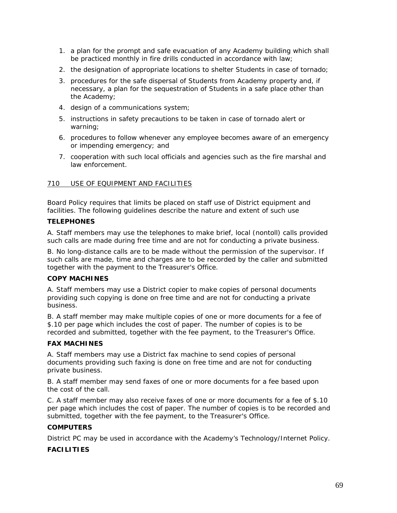- 1. a plan for the prompt and safe evacuation of any Academy building which shall be practiced monthly in fire drills conducted in accordance with law;
- 2. the designation of appropriate locations to shelter Students in case of tornado;
- 3. procedures for the safe dispersal of Students from Academy property and, if necessary, a plan for the sequestration of Students in a safe place other than the Academy;
- 4. design of a communications system;
- 5. instructions in safety precautions to be taken in case of tornado alert or warning;
- 6. procedures to follow whenever any employee becomes aware of an emergency or impending emergency; and
- 7. cooperation with such local officials and agencies such as the fire marshal and law enforcement.

### 710 USE OF EQUIPMENT AND FACILITIES

Board Policy requires that limits be placed on staff use of District equipment and facilities. The following guidelines describe the nature and extent of such use

### **TELEPHONES**

A. Staff members may use the telephones to make brief, local (nontoll) calls provided such calls are made during free time and are not for conducting a private business.

B. No long-distance calls are to be made without the permission of the supervisor. If such calls are made, time and charges are to be recorded by the caller and submitted together with the payment to the Treasurer's Office.

# **COPY MACHINES**

A. Staff members may use a District copier to make copies of personal documents providing such copying is done on free time and are not for conducting a private business.

B. A staff member may make multiple copies of one or more documents for a fee of \$.10 per page which includes the cost of paper. The number of copies is to be recorded and submitted, together with the fee payment, to the Treasurer's Office.

### **FAX MACHINES**

A. Staff members may use a District fax machine to send copies of personal documents providing such faxing is done on free time and are not for conducting private business.

B. A staff member may send faxes of one or more documents for a fee based upon the cost of the call.

C. A staff member may also receive faxes of one or more documents for a fee of \$.10 per page which includes the cost of paper. The number of copies is to be recorded and submitted, together with the fee payment, to the Treasurer's Office.

### **COMPUTERS**

District PC may be used in accordance with the Academy's Technology/Internet Policy.

# **FACILITIES**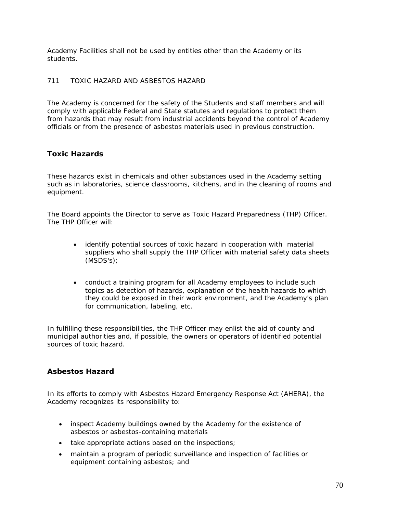Academy Facilities shall not be used by entities other than the Academy or its students.

# 711 TOXIC HAZARD AND ASBESTOS HAZARD

The Academy is concerned for the safety of the Students and staff members and will comply with applicable Federal and State statutes and regulations to protect them from hazards that may result from industrial accidents beyond the control of Academy officials or from the presence of asbestos materials used in previous construction.

# **Toxic Hazards**

These hazards exist in chemicals and other substances used in the Academy setting such as in laboratories, science classrooms, kitchens, and in the cleaning of rooms and equipment.

The Board appoints the Director to serve as Toxic Hazard Preparedness (THP) Officer. The THP Officer will:

- identify potential sources of toxic hazard in cooperation with material suppliers who shall supply the THP Officer with material safety data sheets (MSDS's);
- conduct a training program for all Academy employees to include such topics as detection of hazards, explanation of the health hazards to which they could be exposed in their work environment, and the Academy's plan for communication, labeling, etc.

In fulfilling these responsibilities, the THP Officer may enlist the aid of county and municipal authorities and, if possible, the owners or operators of identified potential sources of toxic hazard.

# **Asbestos Hazard**

In its efforts to comply with Asbestos Hazard Emergency Response Act (AHERA), the Academy recognizes its responsibility to:

- inspect Academy buildings owned by the Academy for the existence of asbestos or asbestos-containing materials
- take appropriate actions based on the inspections;
- maintain a program of periodic surveillance and inspection of facilities or equipment containing asbestos; and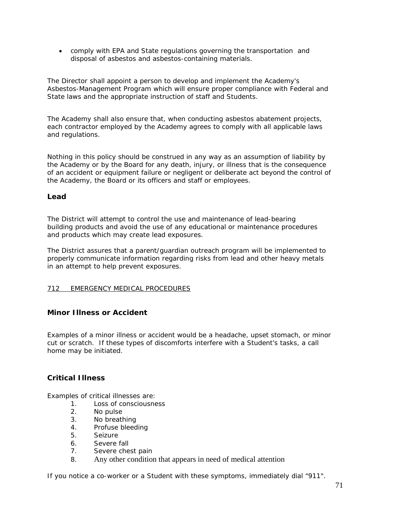• comply with EPA and State regulations governing the transportation and disposal of asbestos and asbestos-containing materials.

The Director shall appoint a person to develop and implement the Academy's Asbestos-Management Program which will ensure proper compliance with Federal and State laws and the appropriate instruction of staff and Students.

The Academy shall also ensure that, when conducting asbestos abatement projects, each contractor employed by the Academy agrees to comply with all applicable laws and regulations.

Nothing in this policy should be construed in any way as an assumption of liability by the Academy or by the Board for any death, injury, or illness that is the consequence of an accident or equipment failure or negligent or deliberate act beyond the control of the Academy, the Board or its officers and staff or employees.

### **Lead**

The District will attempt to control the use and maintenance of lead-bearing building products and avoid the use of any educational or maintenance procedures and products which may create lead exposures.

The District assures that a parent/guardian outreach program will be implemented to properly communicate information regarding risks from lead and other heavy metals in an attempt to help prevent exposures.

### 712 EMERGENCY MEDICAL PROCEDURES

# **Minor Illness or Accident**

Examples of a minor illness or accident would be a headache, upset stomach, or minor cut or scratch. If these types of discomforts interfere with a Student's tasks, a call home may be initiated.

# **Critical Illness**

Examples of critical illnesses are:

- 1. Loss of consciousness
- 2. No pulse
- 3. No breathing
- 4. Profuse bleeding
- 5. Seizure
- 6. Severe fall
- 7. Severe chest pain
- 8. Any other condition that appears in need of medical attention

If you notice a co-worker or a Student with these symptoms, immediately dial "911".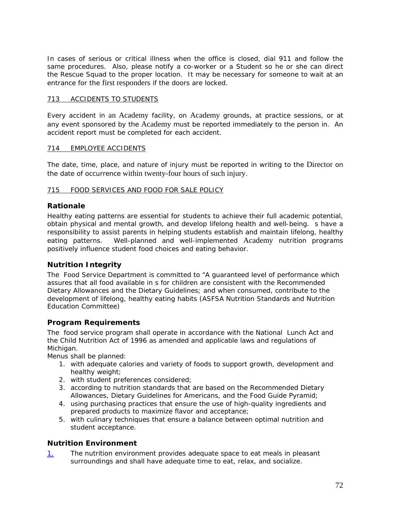In cases of serious or critical illness when the office is closed, dial 911 and follow the same procedures. Also, please notify a co-worker or a Student so he or she can direct the Rescue Squad to the proper location. It may be necessary for someone to wait at an entrance for the first responders if the doors are locked.

### 713 ACCIDENTS TO STUDENTS

Every accident in an Academy facility, on Academy grounds, at practice sessions, or at any event sponsored by the Academy must be reported immediately to the person in. An accident report must be completed for each accident.

### 714 EMPLOYEE ACCIDENTS

The date, time, place, and nature of injury must be reported in writing to the Director on the date of occurrence within twenty-four hours of such injury.

### 715 FOOD SERVICES AND FOOD FOR SALE POLICY

# **Rationale**

Healthy eating patterns are essential for students to achieve their full academic potential, obtain physical and mental growth, and develop lifelong health and well-being. s have a responsibility to assist parents in helping students establish and maintain lifelong, healthy eating patterns. Well-planned and well-implemented Academy nutrition programs positively influence student food choices and eating behavior.

# **Nutrition Integrity**

The Food Service Department is committed to "A guaranteed level of performance which assures that all food available in s for children are consistent with the Recommended Dietary Allowances and the Dietary Guidelines; and when consumed, contribute to the development of lifelong, healthy eating habits (ASFSA Nutrition Standards and Nutrition Education Committee)

### **Program Requirements**

The food service program shall operate in accordance with the National Lunch Act and the Child Nutrition Act of 1996 as amended and applicable laws and regulations of Michigan.

Menus shall be planned:

- 1. with adequate calories and variety of foods to support growth, development and healthy weight;
- 2. with student preferences considered;
- 3. according to nutrition standards that are based on the Recommended Dietary Allowances, Dietary Guidelines for Americans, and the Food Guide Pyramid;
- 4. using purchasing practices that ensure the use of high-quality ingredients and prepared products to maximize flavor and acceptance;
- 5. with culinary techniques that ensure a balance between optimal nutrition and student acceptance.

# **Nutrition Environment**

1. The nutrition environment provides adequate space to eat meals in pleasant surroundings and shall have adequate time to eat, relax, and socialize.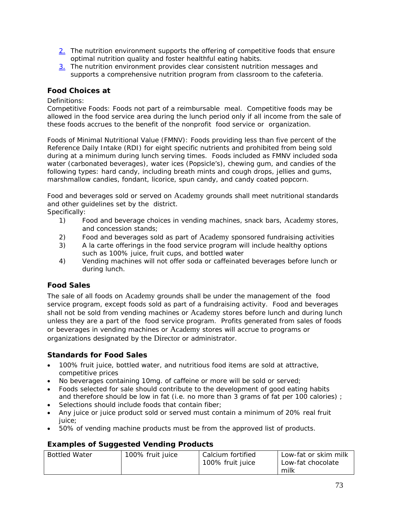- 2. The nutrition environment supports the offering of competitive foods that ensure optimal nutrition quality and foster healthful eating habits.
- $\frac{3}{2}$  The nutrition environment provides clear consistent nutrition messages and supports a comprehensive nutrition program from classroom to the cafeteria.

## **Food Choices at**

### Definitions:

Competitive Foods: Foods not part of a reimbursable meal. Competitive foods may be allowed in the food service area during the lunch period only if all income from the sale of these foods accrues to the benefit of the nonprofit food service or organization.

Foods of Minimal Nutritional Value (FMNV): Foods providing less than five percent of the Reference Daily Intake (RDI) for eight specific nutrients and prohibited from being sold during at a minimum during lunch serving times. Foods included as FMNV included soda water (carbonated beverages), water ices (Popsicle's), chewing gum, and candies of the following types: hard candy, including breath mints and cough drops, jellies and gums, marshmallow candies, fondant, licorice, spun candy, and candy coated popcorn.

Food and beverages sold or served on Academy grounds shall meet nutritional standards and other guidelines set by the district.

- Specifically:
	- 1) Food and beverage choices in vending machines, snack bars, Academy stores, and concession stands;
	- 2) Food and beverages sold as part of Academy sponsored fundraising activities
	- 3) A la carte offerings in the food service program will include healthy options such as 100% juice, fruit cups, and bottled water
	- 4) Vending machines will not offer soda or caffeinated beverages before lunch or during lunch.

# **Food Sales**

The sale of all foods on Academy grounds shall be under the management of the food service program, except foods sold as part of a fundraising activity. Food and beverages shall not be sold from vending machines or Academy stores before lunch and during lunch unless they are a part of the food service program. Profits generated from sales of foods or beverages in vending machines or Academy stores will accrue to programs or organizations designated by the Director or administrator.

# **Standards for Food Sales**

- 100% fruit juice, bottled water, and nutritious food items are sold at attractive, competitive prices
- No beverages containing 10mg. of caffeine or more will be sold or served;
- Foods selected for sale should contribute to the development of good eating habits and therefore should be low in fat (i.e. no more than 3 grams of fat per 100 calories) ;
- Selections should include foods that contain fiber;
- Any juice or juice product sold or served must contain a minimum of 20% real fruit iuice:
- 50% of vending machine products must be from the approved list of products.

# **Examples of Suggested Vending Products**

| <b>Bottled Water</b> | 100% fruit juice | Calcium fortified | Low-fat or skim milk |
|----------------------|------------------|-------------------|----------------------|
|                      |                  | 100% fruit juice  | Low-fat chocolate    |
|                      |                  |                   | milk                 |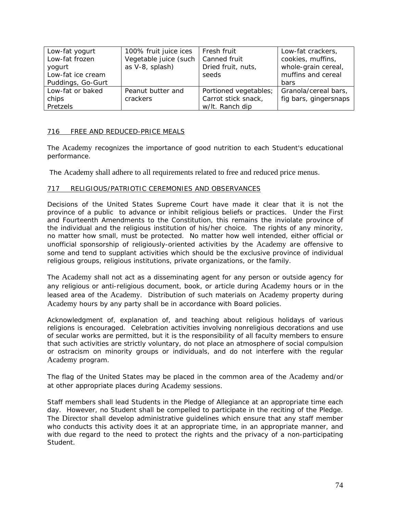| Low-fat yogurt    | 100% fruit juice ices | Fresh fruit           | Low-fat crackers,     |
|-------------------|-----------------------|-----------------------|-----------------------|
| Low-fat frozen    | Vegetable juice (such | Canned fruit          | cookies, muffins,     |
| yogurt            | as V-8, splash)       | Dried fruit, nuts,    | whole-grain cereal,   |
| Low-fat ice cream |                       | seeds                 | muffins and cereal    |
| Puddings, Go-Gurt |                       |                       | <b>bars</b>           |
| Low-fat or baked  | Peanut butter and     | Portioned vegetables; | Granola/cereal bars,  |
| chips             | crackers              | Carrot stick snack,   | fig bars, gingersnaps |
| Pretzels          |                       | w/lt. Ranch dip       |                       |

### 716 FREE AND REDUCED-PRICE MEALS

The Academy recognizes the importance of good nutrition to each Student's educational performance.

The Academy shall adhere to all requirements related to free and reduced price menus.

### 717 RELIGIOUS/PATRIOTIC CEREMONIES AND OBSERVANCES

Decisions of the United States Supreme Court have made it clear that it is not the province of a public to advance or inhibit religious beliefs or practices. Under the First and Fourteenth Amendments to the Constitution, this remains the inviolate province of the individual and the religious institution of his/her choice. The rights of any minority, no matter how small, must be protected. No matter how well intended, either official or unofficial sponsorship of religiously-oriented activities by the Academy are offensive to some and tend to supplant activities which should be the exclusive province of individual religious groups, religious institutions, private organizations, or the family.

The Academy shall not act as a disseminating agent for any person or outside agency for any religious or anti-religious document, book, or article during Academy hours or in the leased area of the Academy. Distribution of such materials on Academy property during Academy hours by any party shall be in accordance with Board policies.

Acknowledgment of, explanation of, and teaching about religious holidays of various religions is encouraged. Celebration activities involving nonreligious decorations and use of secular works are permitted, but it is the responsibility of all faculty members to ensure that such activities are strictly voluntary, do not place an atmosphere of social compulsion or ostracism on minority groups or individuals, and do not interfere with the regular Academy program.

The flag of the United States may be placed in the common area of the Academy and/or at other appropriate places during Academy sessions.

Staff members shall lead Students in the Pledge of Allegiance at an appropriate time each day. However, no Student shall be compelled to participate in the reciting of the Pledge. The Director shall develop administrative guidelines which ensure that any staff member who conducts this activity does it at an appropriate time, in an appropriate manner, and with due regard to the need to protect the rights and the privacy of a non-participating Student.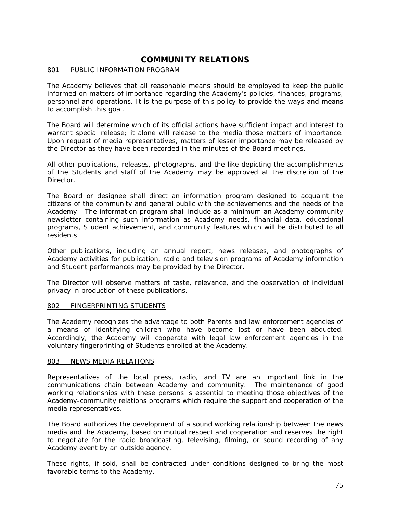## **COMMUNITY RELATIONS**

#### 801 PUBLIC INFORMATION PROGRAM

The Academy believes that all reasonable means should be employed to keep the public informed on matters of importance regarding the Academy's policies, finances, programs, personnel and operations. It is the purpose of this policy to provide the ways and means to accomplish this goal.

The Board will determine which of its official actions have sufficient impact and interest to warrant special release; it alone will release to the media those matters of importance. Upon request of media representatives, matters of lesser importance may be released by the Director as they have been recorded in the minutes of the Board meetings.

All other publications, releases, photographs, and the like depicting the accomplishments of the Students and staff of the Academy may be approved at the discretion of the Director.

The Board or designee shall direct an information program designed to acquaint the citizens of the community and general public with the achievements and the needs of the Academy. The information program shall include as a minimum an Academy community newsletter containing such information as Academy needs, financial data, educational programs, Student achievement, and community features which will be distributed to all residents.

Other publications, including an annual report, news releases, and photographs of Academy activities for publication, radio and television programs of Academy information and Student performances may be provided by the Director.

The Director will observe matters of taste, relevance, and the observation of individual privacy in production of these publications.

#### 802 FINGERPRINTING STUDENTS

The Academy recognizes the advantage to both Parents and law enforcement agencies of a means of identifying children who have become lost or have been abducted. Accordingly, the Academy will cooperate with legal law enforcement agencies in the voluntary fingerprinting of Students enrolled at the Academy.

#### 803 NEWS MEDIA RELATIONS

Representatives of the local press, radio, and TV are an important link in the communications chain between Academy and community. The maintenance of good working relationships with these persons is essential to meeting those objectives of the Academy-community relations programs which require the support and cooperation of the media representatives.

The Board authorizes the development of a sound working relationship between the news media and the Academy, based on mutual respect and cooperation and reserves the right to negotiate for the radio broadcasting, televising, filming, or sound recording of any Academy event by an outside agency.

These rights, if sold, shall be contracted under conditions designed to bring the most favorable terms to the Academy,